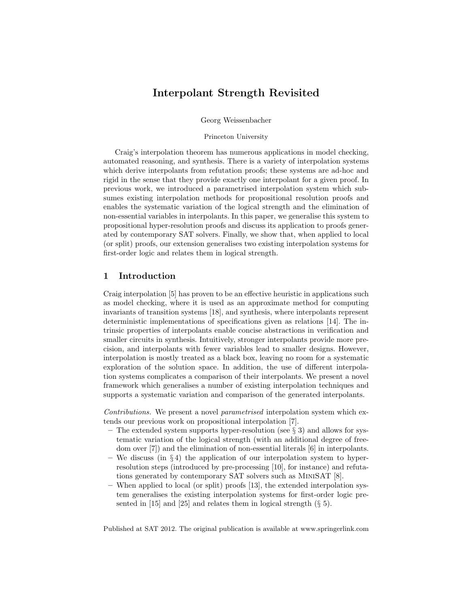# Interpolant Strength Revisited

Georg Weissenbacher

#### Princeton University

Craig's interpolation theorem has numerous applications in model checking, automated reasoning, and synthesis. There is a variety of interpolation systems which derive interpolants from refutation proofs; these systems are ad-hoc and rigid in the sense that they provide exactly one interpolant for a given proof. In previous work, we introduced a parametrised interpolation system which subsumes existing interpolation methods for propositional resolution proofs and enables the systematic variation of the logical strength and the elimination of non-essential variables in interpolants. In this paper, we generalise this system to propositional hyper-resolution proofs and discuss its application to proofs generated by contemporary SAT solvers. Finally, we show that, when applied to local (or split) proofs, our extension generalises two existing interpolation systems for first-order logic and relates them in logical strength.

#### 1 Introduction

Craig interpolation [5] has proven to be an effective heuristic in applications such as model checking, where it is used as an approximate method for computing invariants of transition systems [18], and synthesis, where interpolants represent deterministic implementations of specifications given as relations [14]. The intrinsic properties of interpolants enable concise abstractions in verification and smaller circuits in synthesis. Intuitively, stronger interpolants provide more precision, and interpolants with fewer variables lead to smaller designs. However, interpolation is mostly treated as a black box, leaving no room for a systematic exploration of the solution space. In addition, the use of different interpolation systems complicates a comparison of their interpolants. We present a novel framework which generalises a number of existing interpolation techniques and supports a systematic variation and comparison of the generated interpolants.

Contributions. We present a novel parametrised interpolation system which extends our previous work on propositional interpolation [7].

- The extended system supports hyper-resolution (see § 3) and allows for systematic variation of the logical strength (with an additional degree of freedom over [7]) and the elimination of non-essential literals [6] in interpolants.
- We discuss (in  $\S 4$ ) the application of our interpolation system to hyperresolution steps (introduced by pre-processing [10], for instance) and refutations generated by contemporary SAT solvers such as MiniSAT [8].
- When applied to local (or split) proofs [13], the extended interpolation system generalises the existing interpolation systems for first-order logic presented in [15] and [25] and relates them in logical strength  $(\S 5)$ .

Published at SAT 2012. The original publication is available at www.springerlink.com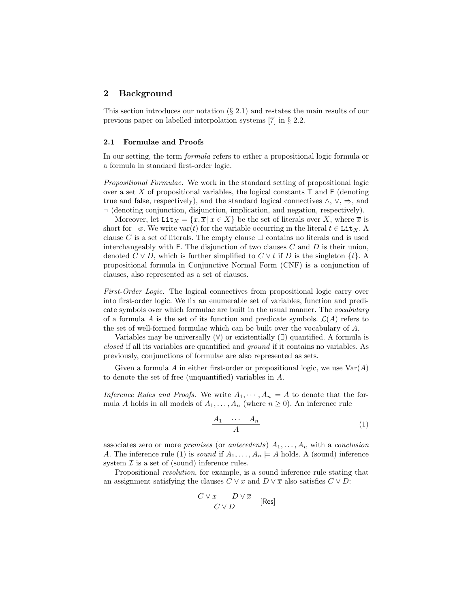#### 2 Background

This section introduces our notation  $(\S 2.1)$  and restates the main results of our previous paper on labelled interpolation systems [7] in § 2.2.

#### 2.1 Formulae and Proofs

In our setting, the term formula refers to either a propositional logic formula or a formula in standard first-order logic.

Propositional Formulae. We work in the standard setting of propositional logic over a set X of propositional variables, the logical constants  $\mathsf{T}$  and  $\mathsf{F}$  (denoting true and false, respectively), and the standard logical connectives  $\wedge$ ,  $\vee$ ,  $\Rightarrow$ , and  $\neg$  (denoting conjunction, disjunction, implication, and negation, respectively).

Moreover, let  $\text{Lit}_X = \{x, \overline{x} \mid x \in X\}$  be the set of literals over X, where  $\overline{x}$  is short for  $\neg x$ . We write var(t) for the variable occurring in the literal  $t \in \text{Lit}_X$ . clause C is a set of literals. The empty clause  $\Box$  contains no literals and is used interchangeably with  $\mathsf{F}$ . The disjunction of two clauses C and D is their union, denoted  $C \vee D$ , which is further simplified to  $C \vee t$  if D is the singleton  $\{t\}$ . propositional formula in Conjunctive Normal Form (CNF) is a conjunction of clauses, also represented as a set of clauses.

First-Order Logic. The logical connectives from propositional logic carry over into first-order logic. We fix an enumerable set of variables, function and predicate symbols over which formulae are built in the usual manner. The vocabulary of a formula A is the set of its function and predicate symbols.  $\mathcal{L}(A)$  refers to the set of well-formed formulae which can be built over the vocabulary of A.

Variables may be universally  $(\forall)$  or existentially  $(\exists)$  quantified. A formula is closed if all its variables are quantified and ground if it contains no variables. As previously, conjunctions of formulae are also represented as sets.

Given a formula A in either first-order or propositional logic, we use  $\text{Var}(A)$ to denote the set of free (unquantified) variables in A.

Inference Rules and Proofs. We write  $A_1, \dots, A_n \models A$  to denote that the formula A holds in all models of  $A_1, \ldots, A_n$  (where  $n \geq 0$ ). An inference rule

$$
\begin{array}{ccc}\nA_1 & \cdots & A_n \\
& A\n\end{array} \n\tag{1}
$$

associates zero or more *premises* (or *antecedents*)  $A_1, \ldots, A_n$  with a *conclusion* A. The inference rule (1) is sound if  $A_1, \ldots, A_n \models A$  holds. A (sound) inference system  $\mathcal I$  is a set of (sound) inference rules.

Propositional resolution, for example, is a sound inference rule stating that an assignment satisfying the clauses  $C \vee x$  and  $D \vee \overline{x}$  also satisfies  $C \vee D$ :

$$
\begin{array}{cc} C \vee x & D \vee \overline{x} \\ \hline C \vee D & \end{array} \quad \text{[Res]}
$$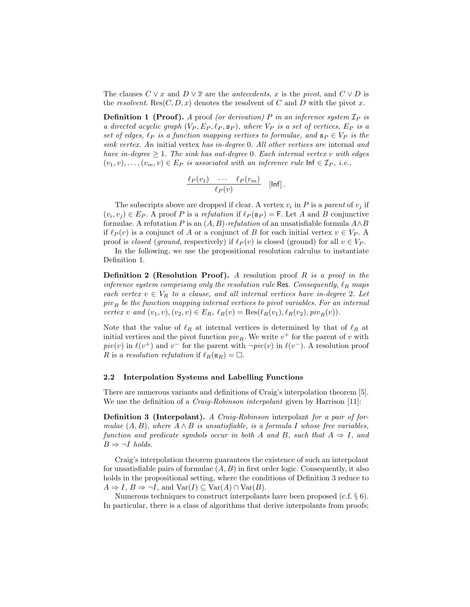The clauses  $C \vee x$  and  $D \vee \overline{x}$  are the *antecedents*, x is the *pivot*, and  $C \vee D$  is the resolvent. Res $(C, D, x)$  denotes the resolvent of C and D with the pivot x.

**Definition 1 (Proof).** A proof (or derivation) P in an inference system  $\mathcal{I}_P$  is a directed acyclic graph  $(V_P, E_P, \ell_P, \mathbf{s}_P)$ , where  $V_P$  is a set of vertices,  $E_P$  is a set of edges,  $\ell_P$  is a function mapping vertices to formulae, and  $s_P \in V_P$  is the sink vertex. An initial vertex has in-degree 0. All other vertices are internal and have in-degree  $\geq 1$ . The sink has out-degree 0. Each internal vertex v with edges  $(v_1, v), \ldots, (v_m, v) \in E_P$  is associated with an inference rule  $\text{Inf} \in \mathcal{I}_P$ , i.e.,

$$
\frac{\ell_P(v_1) \cdots \ell_P(v_m)}{\ell_P(v)} \quad [\text{Inf}].
$$

The subscripts above are dropped if clear. A vertex  $v_i$  in P is a parent of  $v_j$  if  $(v_i, v_j) \in E_P$ . A proof P is a refutation if  $\ell_P(\mathbf{s}_P) = \mathsf{F}$ . Let A and B conjunctive formulae. A refutation P is an  $(A, B)$ -refutation of an unsatisfiable formula  $A \wedge B$ if  $\ell_P (v)$  is a conjunct of A or a conjunct of B for each initial vertex  $v \in V_P$ . proof is closed (ground, respectively) if  $\ell_P (v)$  is closed (ground) for all  $v \in V_P$ .

In the following, we use the propositional resolution calculus to instantiate Definition 1.

**Definition 2 (Resolution Proof).** A resolution proof R is a proof in the inference system comprising only the resolution rule Res. Consequently,  $\ell_R$  maps each vertex  $v \in V_R$  to a clause, and all internal vertices have in-degree 2. Let  $piv_R$  be the function mapping internal vertices to pivot variables. For an internal vertex v and  $(v_1, v), (v_2, v) \in E_R$ ,  $\ell_R(v) = \text{Res}(\ell_R(v_1), \ell_R(v_2), \text{piv}_R(v)).$ 

Note that the value of  $\ell_R$  at internal vertices is determined by that of  $\ell_R$  at initial vertices and the pivot function  $piv_R$ . We write  $v^+$  for the parent of v with  $piv(v)$  in  $\ell(v^+)$  and v<sup>-</sup> for the parent with  $\neg piv(v)$  in  $\ell(v^-)$ . A resolution proof R is a resolution refutation if  $\ell_R(\mathbf{s}_R) = \Box$ .

#### 2.2 Interpolation Systems and Labelling Functions

There are numerous variants and definitions of Craig's interpolation theorem [5]. We use the definition of a *Craig-Robinson interpolant* given by Harrison [11]:

Definition 3 (Interpolant). A Craig-Robinson interpolant for a pair of formulae  $(A, B)$ , where  $A \wedge B$  is unsatisfiable, is a formula I whose free variables, function and predicate symbols occur in both A and B, such that  $A \Rightarrow I$ , and  $B \Rightarrow \neg I$  holds.

Craig's interpolation theorem guarantees the existence of such an interpolant for unsatisfiable pairs of formulae  $(A, B)$  in first order logic. Consequently, it also holds in the propositional setting, where the conditions of Definition 3 reduce to  $A \Rightarrow I, B \Rightarrow \neg I$ , and  $\text{Var}(I) \subseteq \text{Var}(A) \cap \text{Var}(B)$ .

Numerous techniques to construct interpolants have been proposed (c.f. § 6). In particular, there is a class of algorithms that derive interpolants from proofs;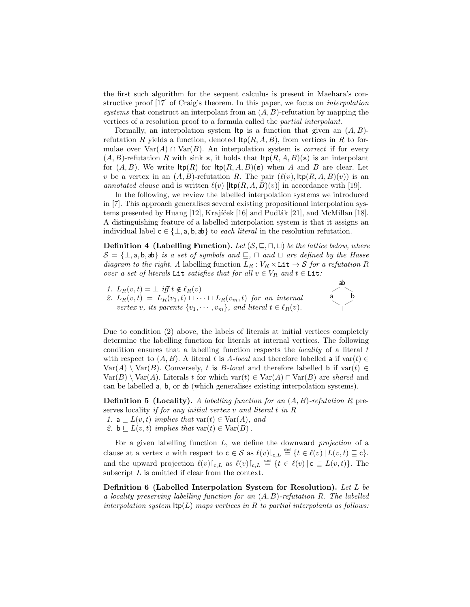the first such algorithm for the sequent calculus is present in Maehara's constructive proof [17] of Craig's theorem. In this paper, we focus on interpolation systems that construct an interpolant from an  $(A, B)$ -refutation by mapping the vertices of a resolution proof to a formula called the partial interpolant.

Formally, an interpolation system Itp is a function that given an  $(A, B)$ refutation R yields a function, denoted  $\text{ltp}(R, A, B)$ , from vertices in R to formulae over  $\text{Var}(A) \cap \text{Var}(B)$ . An interpolation system is *correct* if for every  $(A, B)$ -refutation R with sink **s**, it holds that  $\text{ltp}(R, A, B)(s)$  is an interpolant for  $(A, B)$ . We write  $\text{ltp}(R)$  for  $\text{ltp}(R, A, B)(s)$  when A and B are clear. Let v be a vertex in an  $(A, B)$ -refutation R. The pair  $(\ell(v), \text{ltp}(R, A, B)(v))$  is an annotated clause and is written  $\ell(v)$  [**Itp** $(R, A, B)(v)$ ] in accordance with [19].

In the following, we review the labelled interpolation systems we introduced in [7]. This approach generalises several existing propositional interpolation systems presented by Huang  $[12]$ , Krajíček  $[16]$  and Pudlák  $[21]$ , and McMillan  $[18]$ . A distinguishing feature of a labelled interpolation system is that it assigns an individual label  $c \in \{\perp, a, b, ab\}$  to *each literal* in the resolution refutation.

**Definition 4 (Labelling Function).** Let  $(S, \square, \square)$  be the lattice below, where  $S = \{\perp, \text{a}, \text{b}, \text{ab}\}\$ is a set of symbols and  $\sqsubseteq$ ,  $\sqcap$  and  $\sqcup$  are defined by the Hasse diagram to the right. A labelling function  $L_R : V_R \times \text{Lit} \rightarrow S$  for a refutation R over a set of literals Lit satisfies that for all  $v \in V_R$  and  $t \in$  Lit:

- 1.  $L_R(v, t) = \perp \text{ iff } t \notin \ell_R(v)$
- 2.  $L_R(v,t) = L_R(v_1,t) \sqcup \cdots \sqcup L_R(v_m,t)$  for an internal vertex v, its parents  $\{v_1, \dots, v_m\}$ , and literal  $t \in \ell_R(v)$ .



Due to condition (2) above, the labels of literals at initial vertices completely determine the labelling function for literals at internal vertices. The following condition ensures that a labelling function respects the *locality* of a literal  $t$ with respect to  $(A, B)$ . A literal t is A-local and therefore labelled a if var $(t) \in$  $Var(A) \setminus Var(B)$ . Conversely, t is B-local and therefore labelled b if var(t) ∈  $Var(B) \setminus Var(A)$ . Literals t for which  $var(t) \in Var(A) \cap Var(B)$  are shared and can be labelled a, b, or ab (which generalises existing interpolation systems).

**Definition 5 (Locality).** A labelling function for an  $(A, B)$ -refutation R preserves locality if for any initial vertex v and literal t in R 1. a  $\sqsubseteq L(v, t)$  implies that var(t)  $\in$  Var(A), and

2.  $b \sqsubseteq L(v, t)$  implies that  $var(t) \in Var(B)$ .

subscript  $L$  is omitted if clear from the context.

For a given labelling function  $L$ , we define the downward *projection* of a clause at a vertex v with respect to  $\mathsf{c} \in \mathcal{S}$  as  $\ell(v)|_{\mathsf{c},L} \stackrel{\text{def}}{=} \{t \in \ell(v) | L(v, t) \sqsubseteq \mathsf{c}\}.$ and the upward projection  $\ell(v)\restriction_{\mathsf{c},L}$  as  $\ell(v)\restriction_{\mathsf{c},L} \stackrel{\text{def}}{=} \{t \in \ell(v) \mid \mathsf{c} \sqsubseteq L(v, t)\}.$  The

Definition 6 (Labelled Interpolation System for Resolution). Let L be a locality preserving labelling function for an  $(A, B)$ -refutation R. The labelled interpolation system  $\text{ltp}(L)$  maps vertices in R to partial interpolants as follows: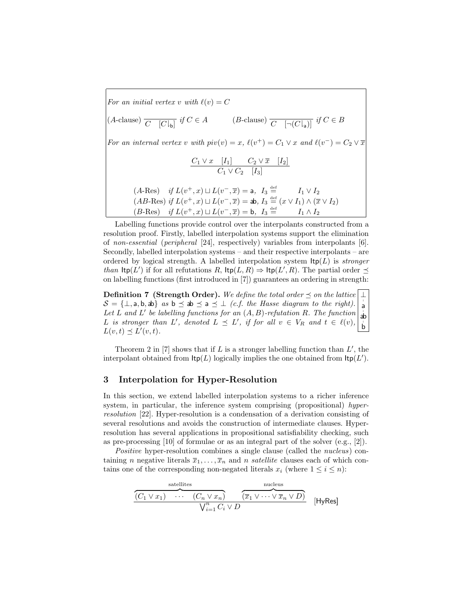For an initial vertex v with  $\ell(v) = C$ (A-clause)  $\overline{C \ [C|_{\mathbf{b}}}$  if  $C \in A$  (B-clause)  $\overline{C \ [-(C|_{\mathbf{a}})]}$  if  $C \in B$ For an internal vertex v with  $piv(v) = x$ ,  $\ell(v^+) = C_1 \vee x$  and  $\ell(v^-) = C_2 \vee \overline{x}$  $C_1 \vee x \quad [I_1] \qquad C_2 \vee \overline{x} \quad [I_2]$  $C_1 \vee C_2$  [I<sub>3</sub>]  $(A\text{-Res})$  if  $L(v^+,x) \sqcup L(v^-, \overline{x}) = \mathsf{a}, \ I_3 \stackrel{\text{def}}{=} I_1 \vee I_2$  $(AB\text{-}Res)$  if  $L(v^+,x) \sqcup L(v^-, \overline{x}) =$  ab,  $I_3 \stackrel{\text{def}}{=} (x \vee I_1) \wedge (\overline{x} \vee I_2)$  $(B\text{-}\mathrm{Res})$  if  $L(v^+,x) \sqcup L(v^-, \overline{x}) = \mathsf{b}, \ I_3$  $I_1 \wedge I_2$ 

Labelling functions provide control over the interpolants constructed from a resolution proof. Firstly, labelled interpolation systems support the elimination of non-essential (peripheral [24], respectively) variables from interpolants  $[6]$ . Secondly, labelled interpolation systems – and their respective interpolants – are ordered by logical strength. A labelled interpolation system  $\text{ltp}(L)$  is *stronger* than  $\text{ltp}(L')$  if for all refutations R,  $\text{ltp}(L, R) \Rightarrow \text{ltp}(L', R)$ . The partial order  $\preceq$ on labelling functions (first introduced in [7]) guarantees an ordering in strength:

**Definition 7 (Strength Order).** We define the total order  $\preceq$  on the lattice  $S = \{\perp, \text{a}, \text{b}, \text{ab}\}\$ as  $\text{b} \preceq \text{ab} \preceq \text{a} \preceq \perp$  (c.f. the Hasse diagram to the right). Let L and L' be labelling functions for an  $(A, B)$ -refutation R. The function L is stronger than L', denoted  $L \preceq L'$ , if for all  $v \in V_R$  and  $t \in \ell(v)$ ,  $L(v,t) \preceq L'(v,t).$ b ab a ⊥

Theorem 2 in [7] shows that if  $L$  is a stronger labelling function than  $L'$ , the interpolant obtained from  $\text{ltp}(L)$  logically implies the one obtained from  $\text{ltp}(L')$ .

### 3 Interpolation for Hyper-Resolution

In this section, we extend labelled interpolation systems to a richer inference system, in particular, the inference system comprising (propositional) hyperresolution [22]. Hyper-resolution is a condensation of a derivation consisting of several resolutions and avoids the construction of intermediate clauses. Hyperresolution has several applications in propositional satisfiability checking, such as pre-processing [10] of formulae or as an integral part of the solver (e.g., [2]).

Positive hyper-resolution combines a single clause (called the *nucleus*) containing *n* negative literals  $\overline{x}_1, \ldots, \overline{x}_n$  and *n* satellite clauses each of which contains one of the corresponding non-negated literals  $x_i$  (where  $1 \leq i \leq n$ ):

satellites z }| { (C<sup>1</sup> ∨ x1) · · · (C<sup>n</sup> ∨ xn) nucleus z }| { (x<sup>1</sup> ∨ · · · ∨ x<sup>n</sup> ∨ D) W<sup>n</sup> <sup>i</sup>=1 C<sup>i</sup> ∨ D [HyRes]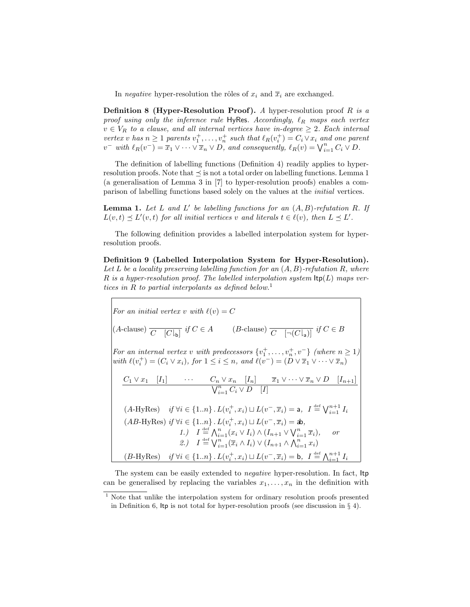In negative hyper-resolution the rôles of  $x_i$  and  $\overline{x}_i$  are exchanged.

**Definition 8 (Hyper-Resolution Proof).** A hyper-resolution proof R is a proof using only the inference rule HyRes. Accordingly,  $\ell_R$  maps each vertex  $v \in V_R$  to a clause, and all internal vertices have in-degree  $\geq 2$ . Each internal vertex v has  $n \geq 1$  parents  $v_1^+, \ldots, v_n^+$  such that  $\ell_R(v_i^+) = C_i \vee x_i$  and one parent  $v^-$  with  $\ell_R(v^-) = \overline{x}_1 \vee \cdots \vee \overline{x}_n \vee D$ , and consequently,  $\ell_R(v) = \bigvee_{i=1}^n C_i \vee D$ .

The definition of labelling functions (Definition 4) readily applies to hyperresolution proofs. Note that  $\preceq$  is not a total order on labelling functions. Lemma 1 (a generalisation of Lemma 3 in [7] to hyper-resolution proofs) enables a comparison of labelling functions based solely on the values at the initial vertices.

**Lemma 1.** Let L and L' be labelling functions for an  $(A, B)$ -refutation R. If  $L(v,t) \preceq L'(v,t)$  for all initial vertices v and literals  $t \in \ell(v)$ , then  $L \preceq L'$ .

The following definition provides a labelled interpolation system for hyperresolution proofs.

Definition 9 (Labelled Interpolation System for Hyper-Resolution). Let L be a locality preserving labelling function for an  $(A, B)$ -refutation R, where R is a hyper-resolution proof. The labelled interpolation system  $\text{ltp}(L)$  maps vertices in  $R$  to partial interpolants as defined below.<sup>1</sup>

For an initial vertex v with  $\ell(v) = C$ (A-clause)  $\overline{C \ [C|_b]}$  if  $C \in A$  (B-clause)  $\overline{C \ [-(C|_a)]}$  if  $C \in B$ For an internal vertex v with predecessors  $\{v_1^+, \ldots, v_n^+, v^-\}$  (where  $n \geq 1$ ) with  $\ell(v_i^+) = (C_i \vee x_i)$ , for  $1 \leq i \leq n$ , and  $\ell(v^-) = (D \vee \overline{x}_1 \vee \cdots \vee \overline{x}_n)$  $C_1 \vee x_1 \quad [I_1] \qquad \cdots \qquad C_n \vee x_n \quad [I_n] \qquad \overline{x}_1 \vee \cdots \vee \overline{x}_n \vee D \quad [I_{n+1}]$  $\sqrt[n]{\sum_{i=1}^{n} C_i \vee D}$  [I]  $(A\text{-HyRes})\quad\textit{if $\forall i\in\{1..n\} \,\,. \, L(v_i^+,x_i) \sqcup L(v^-, \overline{x}_i)=\textsf{a},\;\; I\stackrel{\text{def}}{=} \bigvee_{i=1}^{n+1} I_i$}$  $(AB\text{-}Hy\text{Res})$  if  $\forall i \in \{1..n\}$ .  $L(v_i^+, x_i) \sqcup L(v^-, \overline{x}_i) = \text{ab}$ , 1.)  $I \stackrel{\text{def}}{=} \bigwedge_{i=1}^{n} (x_i \vee I_i) \wedge (I_{n+1} \vee \bigvee_{i=1}^{n} \overline{x}_i), \quad \text{or}$ 2.)  $I \stackrel{\text{def}}{=} \bigvee_{i=1}^{n} (\overline{x}_i \wedge I_i) \vee (I_{n+1} \wedge \bigwedge_{i=1}^{n} x_i)$  $(B\text{-HyRes})$   $if \forall i \in \{1..n\}$ ,  $L(v_i^+, x_i) \sqcup L(v^-, \overline{x}_i) = \mathsf{b}, \ I \stackrel{\text{def}}{=} \bigwedge_{i=1}^{n+1} I_i$ 

The system can be easily extended to *negative* hyper-resolution. In fact, Itp can be generalised by replacing the variables  $x_1, \ldots, x_n$  in the definition with

 $1$  Note that unlike the interpolation system for ordinary resolution proofs presented in Definition 6, Itp is not total for hyper-resolution proofs (see discussion in  $\S 4$ ).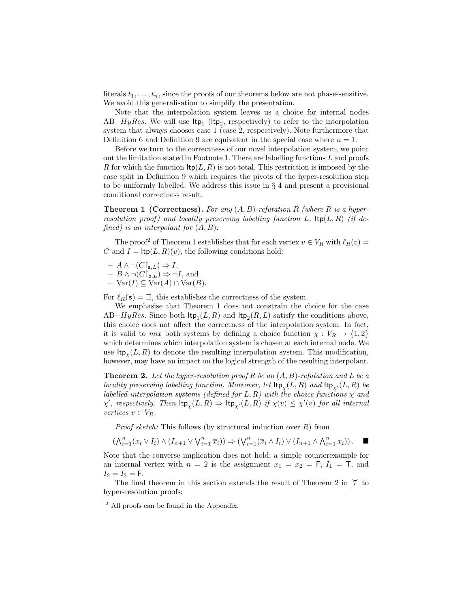literals  $t_1, \ldots, t_n$ , since the proofs of our theorems below are not phase-sensitive. We avoid this generalisation to simplify the presentation.

Note that the interpolation system leaves us a choice for internal nodes  $AB-HyRes$ . We will use  $ltp_1$  ( $ltp_2$ , respectively) to refer to the interpolation system that always chooses case 1 (case 2, respectively). Note furthermore that Definition 6 and Definition 9 are equivalent in the special case where  $n = 1$ .

Before we turn to the correctness of our novel interpolation system, we point out the limitation stated in Footnote 1. There are labelling functions  $L$  and proofs R for which the function  $\text{ltp}(L, R)$  is not total. This restriction is imposed by the case split in Definition 9 which requires the pivots of the hyper-resolution step to be uniformly labelled. We address this issue in § 4 and present a provisional conditional correctness result.

**Theorem 1 (Correctness).** For any  $(A, B)$ -refutation R (where R is a hyperresolution proof) and locality preserving labelling function L,  $\text{ltp}(L, R)$  (if defined) is an interpolant for  $(A, B)$ .

The proof<sup>2</sup> of Theorem 1 establishes that for each vertex  $v \in V_R$  with  $\ell_R(v) =$ C and  $I = \text{ltp}(L, R)(v)$ , the following conditions hold:

- $A \wedge \neg (C \upharpoonright_{\mathsf{a},L}) \Rightarrow I,$
- $B \wedge \neg (C|_{\mathbf{b},L}) \Rightarrow \neg I$ , and

 $- \text{Var}(I) \subseteq \text{Var}(A) \cap \text{Var}(B).$ 

For  $\ell_R(s) = \Box$ , this establishes the correctness of the system.

We emphasise that Theorem 1 does not constrain the choice for the case AB– $HyRes$ . Since both  $\mathsf{ltp}_1(L, R)$  and  $\mathsf{ltp}_2(R, L)$  satisfy the conditions above, this choice does not affect the correctness of the interpolation system. In fact, it is valid to *mix* both systems by defining a choice function  $\chi : V_R \to \{1,2\}$ which determines which interpolation system is chosen at each internal node. We use  $\text{ltp}_{\mathcal{V}}(L, R)$  to denote the resulting interpolation system. This modification, however, may have an impact on the logical strength of the resulting interpolant.

**Theorem 2.** Let the hyper-resolution proof R be an  $(A, B)$ -refutation and L be a locality preserving labelling function. Moreover, let  $\text{ltp}_{\mathcal{L}}(L, R)$  and  $\text{ltp}_{\mathcal{L}'}(L, R)$  be labelled interpolation systems (defined for  $L, R$ ) with the choice functions  $\chi$  and  $\chi'$ , respectively. Then  $\text{ltp}_{\chi}(L,R) \Rightarrow \text{ltp}_{\chi'}(L,R)$  if  $\chi(v) \leq \chi'(v)$  for all internal vertices  $v \in V_R$ .

*Proof sketch:* This follows (by structural induction over  $R$ ) from

$$
(\bigwedge_{i=1}^{n} (x_i \vee I_i) \wedge (I_{n+1} \vee \bigvee_{i=1}^{n} \overline{x}_i)) \Rightarrow (\bigvee_{i=1}^{n} (\overline{x}_i \wedge I_i) \vee (I_{n+1} \wedge \bigwedge_{i=1}^{n} x_i)). \qquad \blacksquare
$$

Note that the converse implication does not hold; a simple counterexample for an internal vertex with  $n = 2$  is the assignment  $x_1 = x_2 = F$ ,  $I_1 = T$ , and  $I_2 = I_3 = F$ .

The final theorem in this section extends the result of Theorem 2 in [7] to hyper-resolution proofs:

<sup>2</sup> All proofs can be found in the Appendix.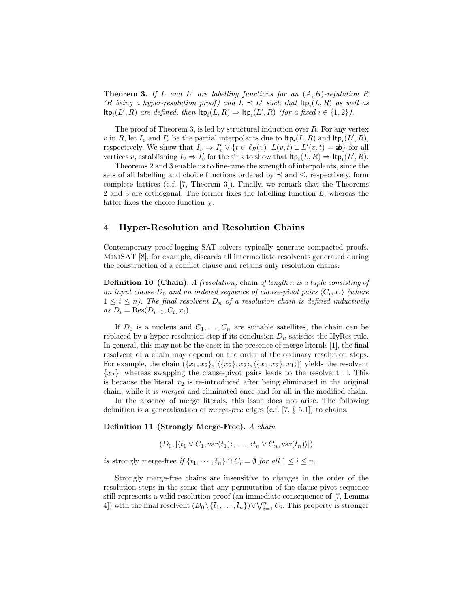**Theorem 3.** If L and L' are labelling functions for an  $(A, B)$ -refutation R (R being a hyper-resolution proof) and  $L \preceq L'$  such that  $\mathsf{ltp}_i(L,R)$  as well as  $\mathsf{ltp}_i(L',R)$  are defined, then  $\mathsf{ltp}_i(L,R) \Rightarrow \mathsf{ltp}_i(L',R)$  (for a fixed  $i \in \{1,2\}$ ).

The proof of Theorem 3, is led by structural induction over  $R$ . For any vertex v in R, let  $I_v$  and  $I'_v$  be the partial interpolants due to  $\mathsf{ltp}_i(L, R)$  and  $\mathsf{ltp}_i(L', R)$ , respectively. We show that  $I_v \Rightarrow I'_v \vee \{t \in \ell_R(v) \mid L(v, t) \sqcup L'(v, t) = \mathbf{a} \}$  for all vertices v, establishing  $I_v \Rightarrow I'_v$  for the sink to show that  $\mathsf{ltp}_i(L, R) \Rightarrow \mathsf{ltp}_i(L', R)$ .

Theorems 2 and 3 enable us to fine-tune the strength of interpolants, since the sets of all labelling and choice functions ordered by  $\leq$  and  $\leq$ , respectively, form complete lattices (c.f. [7, Theorem 3]). Finally, we remark that the Theorems 2 and 3 are orthogonal. The former fixes the labelling function L, whereas the latter fixes the choice function  $\chi$ .

### 4 Hyper-Resolution and Resolution Chains

Contemporary proof-logging SAT solvers typically generate compacted proofs. MiniSAT [8], for example, discards all intermediate resolvents generated during the construction of a conflict clause and retains only resolution chains.

**Definition 10 (Chain).** A (resolution) chain of length n is a tuple consisting of an input clause  $D_0$  and an ordered sequence of clause-pivot pairs  $\langle C_i, x_i \rangle$  (where  $1 \leq i \leq n$ ). The final resolvent  $D_n$  of a resolution chain is defined inductively  $as D_i = \text{Res}(D_{i-1}, C_i, x_i).$ 

If  $D_0$  is a nucleus and  $C_1, \ldots, C_n$  are suitable satellites, the chain can be replaced by a hyper-resolution step if its conclusion  $D_n$  satisfies the HyRes rule. In general, this may not be the case: in the presence of merge literals [1], the final resolvent of a chain may depend on the order of the ordinary resolution steps. For example, the chain  $(\{\overline{x}_1, x_2\}, \{\{\overline{x}_2\}, x_2\}, \{\{x_1, x_2\}, x_1\})$  yields the resolvent  ${x_2}$ , whereas swapping the clause-pivot pairs leads to the resolvent  $\Box$ . This is because the literal  $x_2$  is re-introduced after being eliminated in the original chain, while it is merged and eliminated once and for all in the modified chain.

In the absence of merge literals, this issue does not arise. The following definition is a generalisation of *merge-free* edges (c.f. [7,  $\S$  5.1]) to chains.

Definition 11 (Strongly Merge-Free). A chain

 $(D_0, [\langle t_1 \vee C_1, \operatorname{var}(t_1) \rangle, \ldots, \langle t_n \vee C_n, \operatorname{var}(t_n) \rangle])$ 

is strongly merge-free if  $\{\bar{t}_1, \cdots, \bar{t}_n\} \cap C_i = \emptyset$  for all  $1 \leq i \leq n$ .

Strongly merge-free chains are insensitive to changes in the order of the resolution steps in the sense that any permutation of the clause-pivot sequence still represents a valid resolution proof (an immediate consequence of [7, Lemma 4) with the final resolvent  $(D_0 \setminus \{\overline{t}_1, \ldots, \overline{t}_n\}) \vee \bigvee_{i=1}^n C_i$ . This property is stronger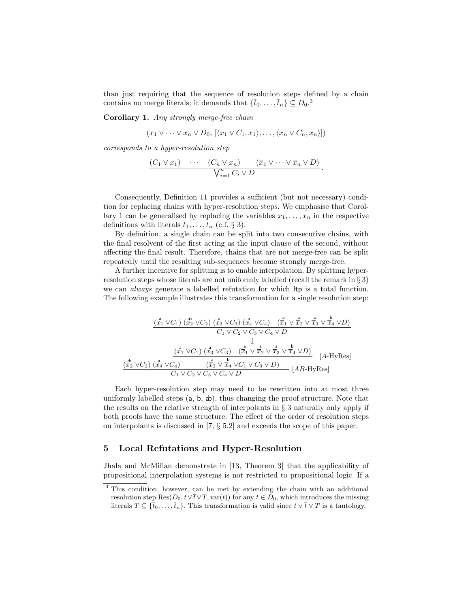than just requiring that the sequence of resolution steps defined by a chain contains no merge literals; it demands that  $\{\bar{t}_0, \ldots, \bar{t}_n\} \subseteq D_0$ .<sup>3</sup>

Corollary 1. Any strongly merge-free chain

$$
(\overline{x}_1 \vee \cdots \vee \overline{x}_n \vee D_0, [\langle x_1 \vee C_1, x_1 \rangle, \ldots, \langle x_n \vee C_n, x_n \rangle])
$$

corresponds to a hyper-resolution step

$$
\frac{(C_1 \vee x_1) \cdots (C_n \vee x_n)}{\bigvee_{i=1}^n C_i \vee D} \cdot \frac{(\overline{x}_1 \vee \cdots \vee \overline{x}_n \vee D)}{\bigvee_{i=1}^n C_i \vee D}.
$$

Consequently, Definition 11 provides a sufficient (but not necessary) condition for replacing chains with hyper-resolution steps. We emphasise that Corollary 1 can be generalised by replacing the variables  $x_1, \ldots, x_n$  in the respective definitions with literals  $t_1, \ldots, t_n$  (c.f. § 3).

By definition, a single chain can be split into two consecutive chains, with the final resolvent of the first acting as the input clause of the second, without affecting the final result. Therefore, chains that are not merge-free can be split repeatedly until the resulting sub-sequences become strongly merge-free.

A further incentive for splitting is to enable interpolation. By splitting hyperresolution steps whose literals are not uniformly labelled (recall the remark in § 3) we can always generate a labelled refutation for which Itp is a total function. The following example illustrates this transformation for a single resolution step:

$$
\frac{\left(\stackrel{a}{x_1} \vee C_1\right)\left(\stackrel{a}{x_2} \vee C_2\right)\left(\stackrel{a}{x_3} \vee C_3\right)\left(\stackrel{a}{x_4} \vee C_4\right)}{C_1 \vee C_2 \vee C_3 \vee C_4 \vee D} \quad \frac{\stackrel{a}{x_1} \vee \stackrel{a}{x_2} \vee \stackrel{a}{x_3} \vee \stackrel{b}{x_4} \vee D)}{C_1 \vee C_2 \vee C_3 \vee C_4 \vee D}
$$
\n
$$
\xrightarrow{\stackrel{\text{i}}{\downarrow}}
$$
\n
$$
\frac{\left(\stackrel{a}{x_1} \vee C_1\right)\left(\stackrel{a}{x_3} \vee C_3\right)}{\left(\stackrel{a}{x_2} \vee \stackrel{a}{x_4} \vee C_1\right)} \quad \frac{\stackrel{a}{x_1} \vee \stackrel{a}{x_2} \vee \stackrel{a}{x_3} \vee \stackrel{b}{x_4} \vee D)}{C_1 \vee C_2 \vee C_3 \vee C_4 \vee D} \quad [A-HyRes]
$$
\n
$$
\xrightarrow{A} \frac{\left(\stackrel{a}{x_2} \vee C_2\right)\left(\stackrel{a}{x_4} \vee C_4\right)}{C_1 \vee C_2 \vee C_3 \vee C_4 \vee D} \quad [AB-HyRes]
$$

Each hyper-resolution step may need to be rewritten into at most three uniformly labelled steps  $(a, b, ab)$ , thus changing the proof structure. Note that the results on the relative strength of interpolants in § 3 naturally only apply if both proofs have the same structure. The effect of the order of resolution steps on interpolants is discussed in [7, § 5.2] and exceeds the scope of this paper.

#### 5 Local Refutations and Hyper-Resolution

Jhala and McMillan demonstrate in [13, Theorem 3] that the applicability of propositional interpolation systems is not restricted to propositional logic. If a

<sup>3</sup> This condition, however, can be met by extending the chain with an additional resolution step  $\text{Res}(D_0, t \vee \overline{t} \vee T, \text{var}(t))$  for any  $t \in D_0$ , which introduces the missing literals  $T \subseteq {\overline{t}_0, \ldots, \overline{t}_n}$ . This transformation is valid since  $t \vee \overline{t} \vee T$  is a tautology.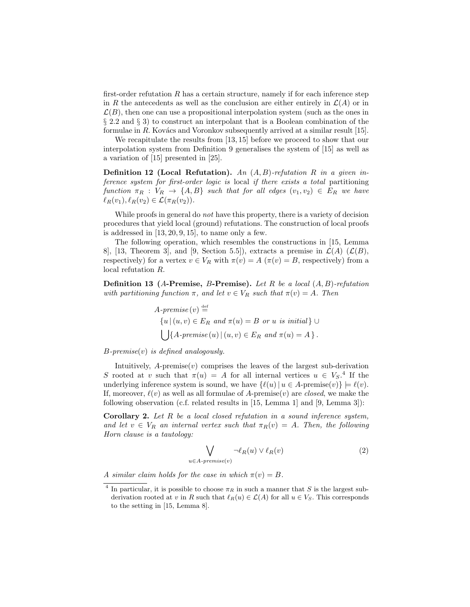first-order refutation  $R$  has a certain structure, namely if for each inference step in R the antecedents as well as the conclusion are either entirely in  $\mathcal{L}(A)$  or in  $\mathcal{L}(B)$ , then one can use a propositional interpolation system (such as the ones in § 2.2 and § 3) to construct an interpolant that is a Boolean combination of the formulae in  $R$ . Kovács and Voronkov subsequently arrived at a similar result [15].

We recapitulate the results from [13, 15] before we proceed to show that our interpolation system from Definition 9 generalises the system of [15] as well as a variation of [15] presented in [25].

**Definition 12 (Local Refutation).** An  $(A, B)$ -refutation R in a given inference system for first-order logic is local if there exists a total partitioning function  $\pi_R : V_R \to \{A, B\}$  such that for all edges  $(v_1, v_2) \in E_R$  we have  $\ell_R(v_1), \ell_R(v_2) \in \mathcal{L}(\pi_R(v_2)).$ 

While proofs in general do *not* have this property, there is a variety of decision procedures that yield local (ground) refutations. The construction of local proofs is addressed in [13, 20, 9, 15], to name only a few.

The following operation, which resembles the constructions in [15, Lemma 8], [13, Theorem 3], and [9, Section 5.5]), extracts a premise in L(A) (L(B), respectively) for a vertex  $v \in V_R$  with  $\pi(v) = A(\pi(v) = B$ , respectively) from a local refutation R.

**Definition 13 (A-Premise, B-Premise).** Let R be a local  $(A, B)$ -refutation with partitioning function  $\pi$ , and let  $v \in V_R$  such that  $\pi(v) = A$ . Then

A-premise (v) 
$$
\stackrel{\text{def}}{=} \{u \mid (u, v) \in E_R \text{ and } \pi(u) = B \text{ or } u \text{ is initial } \} \cup
$$
  
\n $\bigcup \{A\text{-}premise(u) \mid (u, v) \in E_R \text{ and } \pi(u) = A \}.$ 

 $B\text{-}premise(v)$  is defined analogously.

Intuitively,  $A$ -premise $(v)$  comprises the leaves of the largest sub-derivation S rooted at v such that  $\pi(u) = A$  for all internal vertices  $u \in V_S$ <sup>4</sup>. If the underlying inference system is sound, we have  $\{\ell(u) | u \in A\text{-premise}(v)\} \models \ell(v).$ If, moreover,  $\ell(v)$  as well as all formulae of A-premise(v) are closed, we make the following observation (c.f. related results in [15, Lemma 1] and [9, Lemma 3]):

**Corollary 2.** Let  $R$  be a local closed refutation in a sound inference system, and let  $v \in V_R$  an internal vertex such that  $\pi_R(v) = A$ . Then, the following Horn clause is a tautology:

$$
\bigvee_{u \in A\text{-}premise(v)} \neg \ell_R(u) \lor \ell_R(v) \tag{2}
$$

A similar claim holds for the case in which  $\pi(v) = B$ .

<sup>&</sup>lt;sup>4</sup> In particular, it is possible to choose  $\pi_R$  in such a manner that S is the largest subderivation rooted at v in R such that  $\ell_R(u) \in \mathcal{L}(A)$  for all  $u \in V_S$ . This corresponds to the setting in [15, Lemma 8].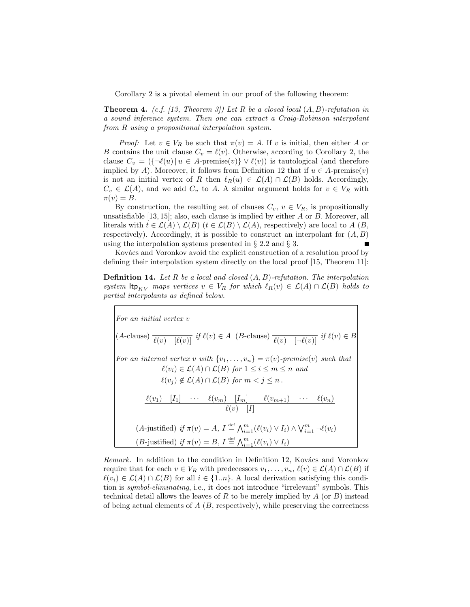Corollary 2 is a pivotal element in our proof of the following theorem:

**Theorem 4.** (c.f. [13, Theorem 3]) Let R be a closed local  $(A, B)$ -refutation in a sound inference system. Then one can extract a Craig-Robinson interpolant from R using a propositional interpolation system.

*Proof:* Let  $v \in V_R$  be such that  $\pi(v) = A$ . If v is initial, then either A or B contains the unit clause  $C_v = \ell(v)$ . Otherwise, according to Corollary 2, the clause  $C_v = (\{\neg \ell(u) | u \in A\text{-premise}(v)\} \vee \ell(v))$  is tautological (and therefore implied by A). Moreover, it follows from Definition 12 that if  $u \in A$ -premise $(v)$ is not an initial vertex of R then  $\ell_R(u) \in \mathcal{L}(A) \cap \mathcal{L}(B)$  holds. Accordingly,  $C_v \in \mathcal{L}(A)$ , and we add  $C_v$  to A. A similar argument holds for  $v \in V_R$  with  $\pi(v) = B.$ 

By construction, the resulting set of clauses  $C_v$ ,  $v \in V_R$ , is propositionally unsatisfiable  $[13, 15]$ ; also, each clause is implied by either A or B. Moreover, all literals with  $t \in \mathcal{L}(A) \setminus \mathcal{L}(B)$   $(t \in \mathcal{L}(B) \setminus \mathcal{L}(A)$ , respectively) are local to A  $(B,$ respectively). Accordingly, it is possible to construct an interpolant for  $(A, B)$ using the interpolation systems presented in  $\S 2.2$  and  $\S 3.$ 

Kovács and Voronkov avoid the explicit construction of a resolution proof by defining their interpolation system directly on the local proof [15, Theorem 11]:

**Definition 14.** Let R be a local and closed  $(A, B)$ -refutation. The interpolation system  $\text{ltp}_{KV}$  maps vertices  $v \in V_R$  for which  $\ell_R(v) \in \mathcal{L}(A) \cap \mathcal{L}(B)$  holds to partial interpolants as defined below.

| For an initial vertex v                                                                                                                                                                                                                                         |
|-----------------------------------------------------------------------------------------------------------------------------------------------------------------------------------------------------------------------------------------------------------------|
| $(A\text{-clause})\frac{\ell(v)-\ell(v)}{\ell(v)-\ell(v)}\text{ if }\ell(v)\in A\text{ ( }B\text{-clause})\frac{\ell(v)-\lceil\frac{\ell(v)}{\ell(v)-\lceil\frac{\ell(v)}{\ell(v)}\rceil}}{\ell(v)-\lceil\frac{\ell(v)}{\ell(v)}\rceil}\text{ if }\ell(v)\in B$ |
| For an internal vertex v with $\{v_1, \ldots, v_n\} = \pi(v)$ -premise(v) such that<br>$\ell(v_i) \in \mathcal{L}(A) \cap \mathcal{L}(B)$ for $1 \leq i \leq m \leq n$ and<br>$\ell(v_i) \notin \mathcal{L}(A) \cap \mathcal{L}(B)$ for $m < j \leq n$ .        |
| $\ell(v_1)$ $[I_1]$ $\cdots$ $\ell(v_m)$ $[I_m]$ $\ell(v_{m+1})$ $\cdots$ $\ell(v_n)$<br>$\ell(v)$ [I]                                                                                                                                                          |
| $(A\text{-justified})$ if $\pi(v) = A$ , $I \stackrel{\text{def}}{=} \bigwedge_{i=1}^{m} (\ell(v_i) \vee I_i) \wedge \bigvee_{i=1}^{m} \neg \ell(v_i)$                                                                                                          |
| (B-justified) if $\pi(v) = B$ , $I \stackrel{\text{def}}{=} \bigwedge_{i=1}^{m} (\ell(v_i) \vee I_i)$                                                                                                                                                           |

Remark. In addition to the condition in Definition 12, Kovács and Voronkov require that for each  $v \in V_R$  with predecessors  $v_1, \ldots, v_n$ ,  $\ell(v) \in \mathcal{L}(A) \cap \mathcal{L}(B)$  if  $\ell(v_i) \in \mathcal{L}(A) \cap \mathcal{L}(B)$  for all  $i \in \{1..n\}$ . A local derivation satisfying this condition is symbol-eliminating, i.e., it does not introduce "irrelevant" symbols. This technical detail allows the leaves of  $R$  to be merely implied by  $A$  (or  $B$ ) instead of being actual elements of  $A(B, respectively)$ , while preserving the correctness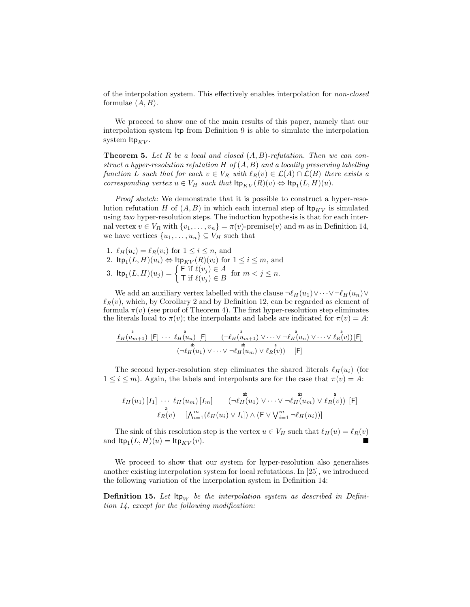of the interpolation system. This effectively enables interpolation for non-closed formulae  $(A, B)$ .

We proceed to show one of the main results of this paper, namely that our interpolation system Itp from Definition 9 is able to simulate the interpolation system  $\text{ltp}_{KV}$ .

**Theorem 5.** Let R be a local and closed  $(A, B)$ -refutation. Then we can construct a hyper-resolution refutation  $H$  of  $(A, B)$  and a locality preserving labelling function L such that for each  $v \in V_R$  with  $\ell_R(v) \in \mathcal{L}(A) \cap \mathcal{L}(B)$  there exists a corresponding vertex  $u \in V_H$  such that  $\text{ltp}_{KV}(R)(v) \Leftrightarrow \text{ltp}_1(L, H)(u)$ .

Proof sketch: We demonstrate that it is possible to construct a hyper-resolution refutation H of  $(A, B)$  in which each internal step of  $l$ t $p_{KV}$  is simulated using two hyper-resolution steps. The induction hypothesis is that for each internal vertex  $v \in V_R$  with  $\{v_1, \ldots, v_n\} = \pi(v)$ -premise $(v)$  and m as in Definition 14, we have vertices  $\{u_1, \ldots, u_n\} \subseteq V_H$  such that

1.  $\ell_H(u_i) = \ell_R(v_i)$  for  $1 \leq i \leq n$ , and 2.  $\text{ltp}_1(L, H)(u_i) \Leftrightarrow \text{ltp}_{KV}(R)(v_i) \text{ for } 1 \leq i \leq m, \text{ and }$ 3.  $\text{ltp}_1(L, H)(u_j) = \begin{cases} \text{F} & \text{if } \ell(v_j) \in A \\ \text{T} & \text{if } \ell(v_j) \in B \end{cases}$  $\mathsf{T} \text{ if } \ell(v_j) \in B \text{ for } m < j \leq n.$ <br> $\mathsf{T} \text{ if } \ell(v_j) \in B \text{ for } m < j \leq n.$ 

We add an auxiliary vertex labelled with the clause  $\neg \ell_H(u_1) \vee \cdots \vee \neg \ell_H(u_n) \vee$  $\ell_R(v)$ , which, by Corollary 2 and by Definition 12, can be regarded as element of formula  $\pi(v)$  (see proof of Theorem 4). The first hyper-resolution step eliminates the literals local to  $\pi(v)$ ; the interpolants and labels are indicated for  $\pi(v) = A$ :

$$
\frac{\ell_H(\stackrel{\text{a}}{u}_{m+1}) \ [\text{F}] \ \cdots \ \ell_H(\stackrel{\text{a}}{u}_n) \ [\text{F}] \qquad (\neg \ell_H(\stackrel{\text{a}}{u}_{m+1}) \ \vee \cdots \vee \neg \ell_H(\stackrel{\text{a}}{u}_n) \ \vee \cdots \vee \ell_R(v)) \ [\text{F}]}{w}
$$
\n
$$
(\neg \ell_H(u_1) \ \vee \cdots \vee \neg \ell_H(u_m) \ \vee \ \ell_R(v)) \ \ [\text{F}]
$$

The second hyper-resolution step eliminates the shared literals  $\ell_H(u_i)$  (for  $1 \leq i \leq m$ ). Again, the labels and interpolants are for the case that  $\pi(v) = A$ :

$$
\frac{\ell_H(u_1)[I_1] \cdots \ell_H(u_m)[I_m]}{\ell_R(v) \left[\bigwedge_{i=1}^m (\ell_H(u_i) \vee I_i] \right] \wedge (\mathsf{F} \vee \bigvee_{i=1}^m \neg \ell_H(u_i)) \left[\mathsf{F}\right]}{\ell_R(v) \left[\bigwedge_{i=1}^m (\ell_H(u_i) \vee I_i] \right] \wedge (\mathsf{F} \vee \bigvee_{i=1}^m \neg \ell_H(u_i))]}
$$

The sink of this resolution step is the vertex  $u \in V_H$  such that  $\ell_H(u) = \ell_R(v)$ and  $\text{ltp}_1(L, H)(u) = \text{ltp}_{KV}(v).$ 

We proceed to show that our system for hyper-resolution also generalises another existing interpolation system for local refutations. In [25], we introduced the following variation of the interpolation system in Definition 14:

**Definition 15.** Let  $\text{Itp}_W$  be the interpolation system as described in Definition 14, except for the following modification: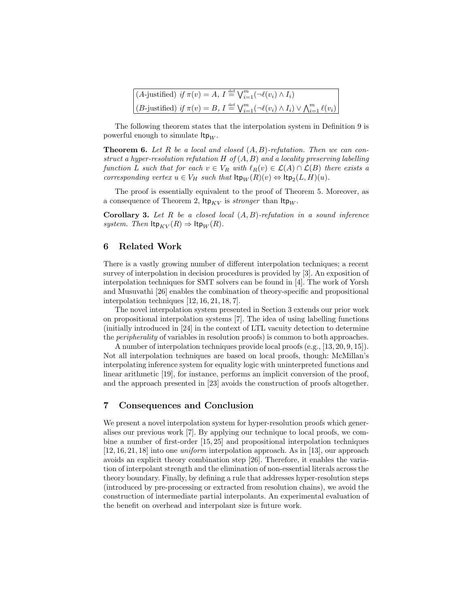| $\big  (A\text{-justified}) \text{ if } \pi(v) = A, I \stackrel{\text{def}}{=} \bigvee_{i=1}^{m} (\neg \ell(v_i) \wedge I_i)$                                    |
|------------------------------------------------------------------------------------------------------------------------------------------------------------------|
| $ (B\text{-justified})\text{ if } \pi(v) = B, I \stackrel{\text{def}}{=} \bigvee_{i=1}^{m} (\neg \ell(v_i) \wedge I_i) \vee \bigwedge_{i=1}^{m} \ell(v_i) \big $ |

The following theorem states that the interpolation system in Definition 9 is powerful enough to simulate  $\mathsf{ltp}_{W}$ .

**Theorem 6.** Let R be a local and closed  $(A, B)$ -refutation. Then we can construct a hyper-resolution refutation  $H$  of  $(A, B)$  and a locality preserving labelling function L such that for each  $v \in V_R$  with  $\ell_R(v) \in \mathcal{L}(A) \cap \mathcal{L}(B)$  there exists a corresponding vertex  $u \in V_H$  such that  $\text{ltp}_W(R)(v) \Leftrightarrow \text{ltp}_2(L, H)(u)$ .

The proof is essentially equivalent to the proof of Theorem 5. Moreover, as a consequence of Theorem 2,  $\text{ltp}_{KV}$  is stronger than  $\text{ltp}_{W}$ .

Corollary 3. Let  $R$  be a closed local  $(A, B)$ -refutation in a sound inference system. Then  $\text{ltp}_{KV}(R) \Rightarrow \text{ltp}_{W}(R)$ .

### 6 Related Work

There is a vastly growing number of different interpolation techniques; a recent survey of interpolation in decision procedures is provided by [3]. An exposition of interpolation techniques for SMT solvers can be found in [4]. The work of Yorsh and Musuvathi [26] enables the combination of theory-specific and propositional interpolation techniques [12, 16, 21, 18, 7].

The novel interpolation system presented in Section 3 extends our prior work on propositional interpolation systems [7]. The idea of using labelling functions (initially introduced in [24] in the context of LTL vacuity detection to determine the peripherality of variables in resolution proofs) is common to both approaches.

A number of interpolation techniques provide local proofs (e.g., [13, 20, 9, 15]). Not all interpolation techniques are based on local proofs, though: McMillan's interpolating inference system for equality logic with uninterpreted functions and linear arithmetic [19], for instance, performs an implicit conversion of the proof, and the approach presented in [23] avoids the construction of proofs altogether.

# 7 Consequences and Conclusion

We present a novel interpolation system for hyper-resolution proofs which generalises our previous work [7]. By applying our technique to local proofs, we combine a number of first-order [15, 25] and propositional interpolation techniques [12, 16, 21, 18] into one uniform interpolation approach. As in [13], our approach avoids an explicit theory combination step [26]. Therefore, it enables the variation of interpolant strength and the elimination of non-essential literals across the theory boundary. Finally, by defining a rule that addresses hyper-resolution steps (introduced by pre-processing or extracted from resolution chains), we avoid the construction of intermediate partial interpolants. An experimental evaluation of the benefit on overhead and interpolant size is future work.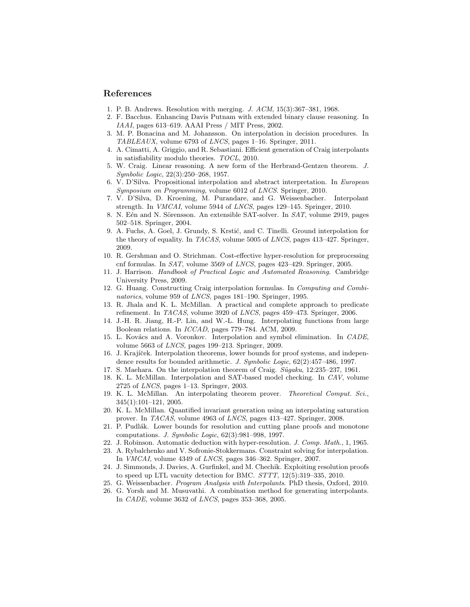#### References

- 1. P. B. Andrews. Resolution with merging. J. ACM, 15(3):367–381, 1968.
- 2. F. Bacchus. Enhancing Davis Putnam with extended binary clause reasoning. In IAAI, pages 613–619. AAAI Press / MIT Press, 2002.
- 3. M. P. Bonacina and M. Johansson. On interpolation in decision procedures. In  $TABLEAUX$ , volume 6793 of  $LNCS$ , pages 1–16. Springer, 2011.
- 4. A. Cimatti, A. Griggio, and R. Sebastiani. Efficient generation of Craig interpolants in satisfiability modulo theories. TOCL, 2010.
- 5. W. Craig. Linear reasoning. A new form of the Herbrand-Gentzen theorem. J. Symbolic Logic, 22(3):250–268, 1957.
- 6. V. D'Silva. Propositional interpolation and abstract interpretation. In European Symposium on Programming, volume 6012 of LNCS. Springer, 2010.
- 7. V. D'Silva, D. Kroening, M. Purandare, and G. Weissenbacher. Interpolant strength. In VMCAI, volume 5944 of LNCS, pages 129–145. Springer, 2010.
- 8. N. Eén and N. Sörensson. An extensible SAT-solver. In SAT, volume 2919, pages 502–518. Springer, 2004.
- 9. A. Fuchs, A. Goel, J. Grundy, S. Krstić, and C. Tinelli. Ground interpolation for the theory of equality. In TACAS, volume 5005 of LNCS, pages 413–427. Springer, 2009.
- 10. R. Gershman and O. Strichman. Cost-effective hyper-resolution for preprocessing cnf formulas. In SAT, volume 3569 of LNCS, pages 423–429. Springer, 2005.
- 11. J. Harrison. Handbook of Practical Logic and Automated Reasoning. Cambridge University Press, 2009.
- 12. G. Huang. Constructing Craig interpolation formulas. In Computing and Combinatorics, volume 959 of LNCS, pages 181–190. Springer, 1995.
- 13. R. Jhala and K. L. McMillan. A practical and complete approach to predicate refinement. In TACAS, volume 3920 of LNCS, pages 459–473. Springer, 2006.
- 14. J.-H. R. Jiang, H.-P. Lin, and W.-L. Hung. Interpolating functions from large Boolean relations. In ICCAD, pages 779–784. ACM, 2009.
- 15. L. Kovács and A. Voronkov. Interpolation and symbol elimination. In CADE, volume 5663 of LNCS, pages 199–213. Springer, 2009.
- 16. J. Krajíček. Interpolation theorems, lower bounds for proof systems, and independence results for bounded arithmetic. J. Symbolic Logic, 62(2):457–486, 1997.
- 17. S. Maehara. On the interpolation theorem of Craig. Sûgaku, 12:235–237, 1961.
- 18. K. L. McMillan. Interpolation and SAT-based model checking. In CAV, volume 2725 of LNCS, pages 1–13. Springer, 2003.
- 19. K. L. McMillan. An interpolating theorem prover. Theoretical Comput. Sci., 345(1):101–121, 2005.
- 20. K. L. McMillan. Quantified invariant generation using an interpolating saturation prover. In TACAS, volume 4963 of LNCS, pages 413–427. Springer, 2008.
- 21. P. Pudlák. Lower bounds for resolution and cutting plane proofs and monotone computations. J. Symbolic Logic, 62(3):981–998, 1997.
- 22. J. Robinson. Automatic deduction with hyper-resolution. J. Comp. Math., 1, 1965.
- 23. A. Rybalchenko and V. Sofronie-Stokkermans. Constraint solving for interpolation. In VMCAI, volume 4349 of LNCS, pages 346–362. Springer, 2007.
- 24. J. Simmonds, J. Davies, A. Gurfinkel, and M. Chechik. Exploiting resolution proofs to speed up LTL vacuity detection for BMC. STTT, 12(5):319–335, 2010.
- 25. G. Weissenbacher. Program Analysis with Interpolants. PhD thesis, Oxford, 2010.
- 26. G. Yorsh and M. Musuvathi. A combination method for generating interpolants. In CADE, volume 3632 of LNCS, pages 353–368, 2005.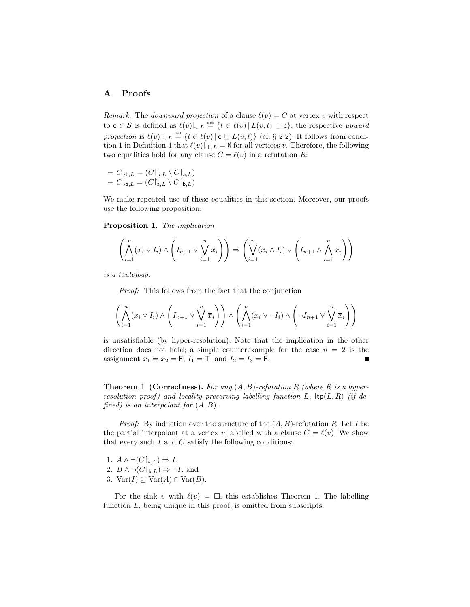## A Proofs

Remark. The downward projection of a clause  $\ell(v) = C$  at vertex v with respect to  $\mathsf{c} \in \mathcal{S}$  is defined as  $\ell(v)|_{\mathsf{c},L} \stackrel{\text{def}}{=} \{t \in \ell(v) | L(v,t) \sqsubseteq \mathsf{c}\},\$  the respective upward projection is  $\ell(v) \rceil_{c,L} \stackrel{\text{def}}{=} \{t \in \ell(v) \mid c \sqsubseteq L(v, t)\}$  (cf. § 2.2). It follows from condition 1 in Definition 4 that  $\ell(v)\big|_{\perp,L} = \emptyset$  for all vertices v. Therefore, the following two equalities hold for any clause  $C = \ell(v)$  in a refutation R:

$$
- C |_{\mathbf{b},L} = (C |_{\mathbf{b},L} \setminus C |_{\mathbf{a},L})
$$
  

$$
- C |_{\mathbf{a},L} = (C |_{\mathbf{a},L} \setminus C |_{\mathbf{b},L})
$$

We make repeated use of these equalities in this section. Moreover, our proofs use the following proposition:

Proposition 1. The implication

$$
\left(\bigwedge_{i=1}^{n} (x_i \vee I_i) \wedge \left(I_{n+1} \vee \bigvee_{i=1}^{n} \overline{x}_i\right)\right) \Rightarrow \left(\bigvee_{i=1}^{n} (\overline{x}_i \wedge I_i) \vee \left(I_{n+1} \wedge \bigwedge_{i=1}^{n} x_i\right)\right)
$$

is a tautology.

Proof: This follows from the fact that the conjunction

$$
\left(\bigwedge_{i=1}^{n} (x_i \vee I_i) \wedge \left(I_{n+1} \vee \bigvee_{i=1}^{n} \overline{x}_i\right)\right) \wedge \left(\bigwedge_{i=1}^{n} (x_i \vee \neg I_i) \wedge \left(\neg I_{n+1} \vee \bigvee_{i=1}^{n} \overline{x}_i\right)\right)
$$

is unsatisfiable (by hyper-resolution). Note that the implication in the other direction does not hold; a simple counterexample for the case  $n = 2$  is the assignment  $x_1 = x_2 = F$ ,  $I_1 = T$ , and  $I_2 = I_3 = F$ .

**Theorem 1 (Correctness).** For any  $(A, B)$ -refutation R (where R is a hyperresolution proof) and locality preserving labelling function L,  $\text{ltp}(L, R)$  (if defined) is an interpolant for  $(A, B)$ .

*Proof:* By induction over the structure of the  $(A, B)$ -refutation R. Let I be the partial interpolant at a vertex v labelled with a clause  $C = \ell(v)$ . We show that every such  $I$  and  $C$  satisfy the following conditions:

- 1.  $A \wedge \neg (C \upharpoonright_{\mathsf{a},L}) \Rightarrow I$ ,
- 2.  $B \wedge \neg (C \upharpoonright_{\mathbf{b},L}) \Rightarrow \neg I$ , and
- 3.  $Var(I) \subseteq Var(A) \cap Var(B)$ .

For the sink v with  $\ell(v) = \Box$ , this establishes Theorem 1. The labelling function L, being unique in this proof, is omitted from subscripts.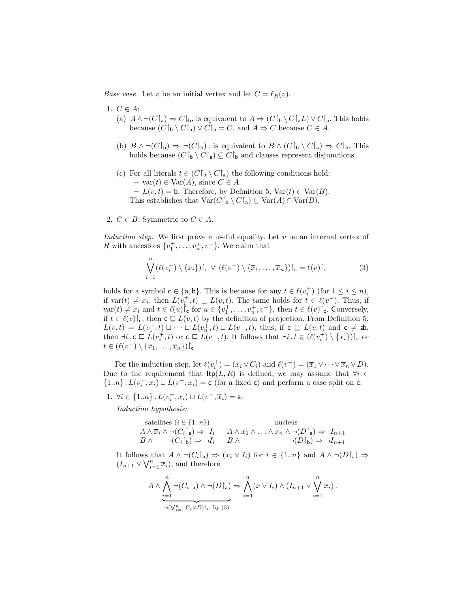*Base case.* Let v be an initial vertex and let  $C = \ell_R(v)$ .

- 1.  $C \in A$ :
	- (a)  $A \wedge \neg (C|_{a}) \Rightarrow C|_{b}$ , is equivalent to  $A \Rightarrow (C|_{b} \setminus C|_{a}L) \vee C|_{a}$ . This holds because  $(C\upharpoonright_{\mathbf{b}} \setminus C\upharpoonright_{\mathbf{a}}) \vee C\upharpoonright_{\mathbf{a}} = C$ , and  $A \Rightarrow C$  because  $C \in A$ .
	- (b)  $B \wedge \neg (C|_{b}) \Rightarrow \neg (C|_{b})$ , is equivalent to  $B \wedge (C|_{b} \setminus C|_{a}) \Rightarrow C|_{b}$ . This holds because  $(C\upharpoonright_b \setminus C\upharpoonright_a) \subseteq C\upharpoonright_b$  and clauses represent disjunctions.
	- (c) For all literals  $t \in (C\upharpoonright_{\mathbf{b}} \setminus C\upharpoonright_{\mathbf{a}})$  the following conditions hold:  $-$  var $(t) \in \text{Var}(A)$ , since  $C \in A$ .  $-L(v, t) = b$ . Therefore, by Definition 5, Var(t)  $\in$  Var(B). This establishes that  $\text{Var}(C\upharpoonright_{\mathbf{b}} \setminus C\upharpoonright_{\mathbf{a}}) \subseteq \text{Var}(A) \cap \text{Var}(B)$ .
- 2.  $C \in B$ : Symmetric to  $C \in A$ .

Induction step. We first prove a useful equality. Let  $v$  be an internal vertex of R with ancestors  $\{v_1^+, \ldots, v_n^+, v^-\}$ . We claim that

$$
\bigvee_{i=1}^{n} (\ell(v_i^+) \setminus \{x_i\}) \rvert_{\mathsf{c}} \vee (\ell(v^-) \setminus \{\overline{x}_1, \dots, \overline{x}_n\}) \rvert_{\mathsf{c}} = \ell(v) \rvert_{\mathsf{c}} \tag{3}
$$

holds for a symbol  $c \in \{a, b\}$ . This is because for any  $t \in \ell(v_i^+)$  (for  $1 \le i \le n$ ), if  $var(t) \neq x_i$ , then  $L(v_i^+, t) \sqsubseteq L(v, t)$ . The same holds for  $t \in \ell(v^-)$ . Thus, if  $var(t) \neq x_i$  and  $t \in \ell(u) \rvert_c$  for  $u \in \{v_1^+, \ldots, v_n^+, v^-\}$ , then  $t \in \ell(v) \rvert_c$ . Conversely, if  $t \in \ell(v)$ <sub>c</sub>, then  $c \subseteq L(v, t)$  by the definition of projection. From Definition 5,  $L(v,t) = L(v_1^+,t) \sqcup \cdots \sqcup L(v_n^+,t) \sqcup L(v^-,t)$ , thus, if  $c \sqsubseteq L(v,t)$  and  $c \neq ab$ , then  $\exists i \cdot \mathbf{c} \sqsubseteq L(v_i^+, t)$  or  $\mathbf{c} \sqsubseteq L(v^-, t)$ . It follows that  $\exists i \cdot \overline{t} \in (\ell(v_i^+) \setminus \{x_i\})\rvert_{\mathbf{c}}$  or  $t \in (\ell(v^-) \setminus \overline{\{\overline{x}_1,\ldots,\overline{x}_n\}})\overline{\mathcal{C}}.$ 

For the induction step, let  $\ell(v_i^+) = (x_i \vee C_i)$  and  $\ell(v^-) = (\overline{x}_1 \vee \cdots \vee \overline{x}_n \vee D)$ . Due to the requirement that  $\text{ltp}(L, R)$  is defined, we may assume that  $\forall i \in$  $\{1..n\}$ .  $L(v_i^+, x_i) \sqcup L(v^-, \overline{x}_i) = \mathsf{c}$  (for a fixed  $\mathsf{c}$ ) and perform a case split on  $\mathsf{c}$ :

1.  $\forall i \in \{1..n\}$ .  $L(v_i^+, x_i) \sqcup L(v^-, \overline{x}_i) = \textsf{a}:$ 

Induction hypothesis:

satellites 
$$
(i \in \{1..n\})
$$
  
\n $A \wedge \overline{x}_i \wedge \neg(C_i|_{\mathsf{a}}) \Rightarrow I_i$   $A \wedge x_1 \wedge ... \wedge x_n \wedge \neg(D|_{\mathsf{a}}) \Rightarrow I_{n+1}$   
\n $B \wedge \neg(C_i|_{\mathsf{b}}) \Rightarrow \neg I_i$   $B \wedge \neg(D|_{\mathsf{b}}) \Rightarrow \neg I_{n+1}$ 

It follows that  $A \wedge \neg (C_i \upharpoonright_a) \Rightarrow (x_i \vee I_i)$  for  $i \in \{1..n\}$  and  $A \wedge \neg (D \upharpoonright_a) \Rightarrow$  $(I_{n+1} \vee \bigvee_{i=1}^{n} \overline{x}_i)$ , and therefore

$$
A \wedge \bigwedge_{i=1}^{n} \neg(C_{i} \upharpoonright_{a}) \wedge \neg(D \upharpoonright_{a}) \Rightarrow \bigwedge_{i=1}^{n} (x \vee I_{i}) \wedge (I_{n+1} \vee \bigvee_{i=1}^{n} \overline{x}_{i}).
$$
  

$$
\neg(\bigvee_{i=1}^{n} C_{i} \vee D) \upharpoonright_{a}, \text{ by (3)}
$$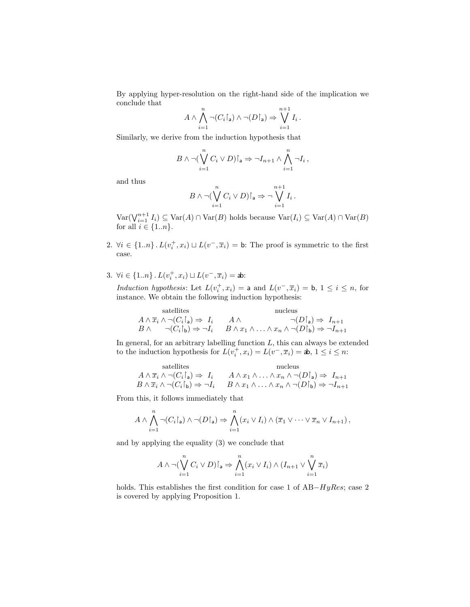By applying hyper-resolution on the right-hand side of the implication we conclude that

$$
A \wedge \bigwedge_{i=1}^{n} \neg (C_i \upharpoonright_{\mathsf{a}}) \wedge \neg (D \upharpoonright_{\mathsf{a}}) \Rightarrow \bigvee_{i=1}^{n+1} I_i \, .
$$

Similarly, we derive from the induction hypothesis that

$$
B \wedge \neg(\bigvee_{i=1}^{n} C_{i} \vee D)\mathbf{1}_{a} \Rightarrow \neg I_{n+1} \wedge \bigwedge_{i=1}^{n} \neg I_{i},
$$

and thus

$$
B \wedge \neg (\bigvee_{i=1}^{n} C_{i} \vee D) \rceil_{\mathsf{a}} \Rightarrow \neg \bigvee_{i=1}^{n+1} I_{i} .
$$

 $\text{Var}(\bigvee_{i=1}^{n+1} I_i) \subseteq \text{Var}(A) \cap \text{Var}(B)$  holds because  $\text{Var}(I_i) \subseteq \text{Var}(A) \cap \text{Var}(B)$ for all  $i \in \{1..n\}$ .

- 2.  $\forall i \in \{1..n\}$ .  $L(v_i^+, x_i) \sqcup L(v^-, \overline{x}_i) = \mathbf{b}$ : The proof is symmetric to the first case.
- 3.  $\forall i \in \{1..n\}$ .  $L(v_i^+, x_i) \sqcup L(v^-, \overline{x}_i) = \text{ab:}$

*Induction hypothesis:* Let  $L(v_i^+, x_i) = \mathsf{a}$  and  $L(v^-, \overline{x}_i) = \mathsf{b}$ ,  $1 \leq i \leq n$ , for instance. We obtain the following induction hypothesis:

satellites nucleus  $A \wedge \overline{x}_i \wedge \neg(C_i \upharpoonright_{\mathsf{a}}) \Rightarrow I_i \qquad A \wedge \qquad \qquad \neg(D \upharpoonright_{\mathsf{a}}) \Rightarrow I_{n+1}$  $B \wedge \overline{-(C_i|_{\mathbf{b}})} \Rightarrow \neg I_i \quad B \wedge x_1 \wedge \ldots \wedge x_n \wedge \neg (D|_{\mathbf{b}}) \Rightarrow \neg I_{n+1}$ 

In general, for an arbitrary labelling function  $L$ , this can always be extended to the induction hypothesis for  $L(v_i^+, x_i) = L(v^-, \overline{x}_i) = \mathbf{a}$ ,  $1 \le i \le n$ :

satellites nucleus  
\n
$$
A \wedge \overline{x}_i \wedge \neg (C_i|_a) \Rightarrow I_i
$$
  $A \wedge x_1 \wedge \dots \wedge x_n \wedge \neg (D|_a) \Rightarrow I_{n+1}$   
\n $B \wedge \overline{x}_i \wedge \neg (C_i|_b) \Rightarrow \neg I_i$   $B \wedge x_1 \wedge \dots \wedge x_n \wedge \neg (D|_b) \Rightarrow \neg I_{n+1}$ 

From this, it follows immediately that

$$
A \wedge \bigwedge_{i=1}^{n} \neg(C_{i} \upharpoonright_{\mathsf{a}}) \wedge \neg(D \upharpoonright_{\mathsf{a}}) \Rightarrow \bigwedge_{i=1}^{n} (x_{i} \vee I_{i}) \wedge (\overline{x}_{1} \vee \cdots \vee \overline{x}_{n} \vee I_{n+1}),
$$

and by applying the equality (3) we conclude that

$$
A \wedge \neg (\bigvee_{i=1}^{n} C_i \vee D) \rceil_a \Rightarrow \bigwedge_{i=1}^{n} (x_i \vee I_i) \wedge (I_{n+1} \vee \bigvee_{i=1}^{n} \overline{x}_i)
$$

holds. This establishes the first condition for case 1 of AB−HyRes; case 2 is covered by applying Proposition 1.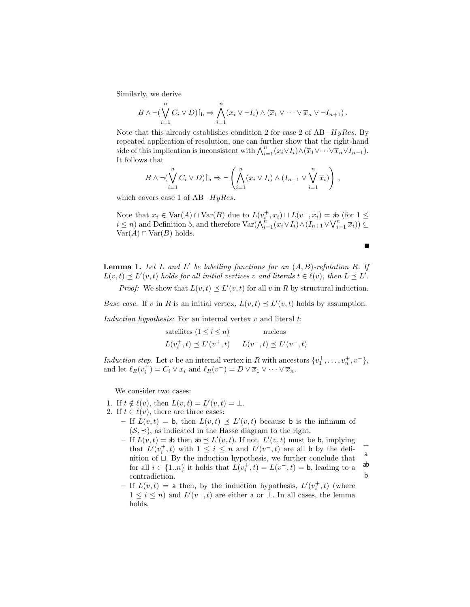Similarly, we derive

$$
B \wedge \neg (\bigvee_{i=1}^{n} C_{i} \vee D)\mathfrak{f}_{b} \Rightarrow \bigwedge_{i=1}^{n} (x_{i} \vee \neg I_{i}) \wedge (\overline{x}_{1} \vee \cdots \vee \overline{x}_{n} \vee \neg I_{n+1}).
$$

Note that this already establishes condition 2 for case 2 of AB−HyRes. By repeated application of resolution, one can further show that the right-hand side of this implication is inconsistent with  $\bigwedge_{i=1}^n (x_i \vee I_i) \wedge (\overline{x}_1 \vee \cdots \vee \overline{x}_n \vee I_{n+1}).$ It follows that

$$
B \wedge \neg (\bigvee_{i=1}^{n} C_{i} \vee D)\mathcal{L}_{b} \Rightarrow \neg \left(\bigwedge_{i=1}^{n} (x_{i} \vee I_{i}) \wedge (I_{n+1} \vee \bigvee_{i=1}^{n} \overline{x}_{i})\right),
$$

which covers case 1 of  $AB-HyRes$ .

Note that  $x_i \in \text{Var}(A) \cap \text{Var}(B)$  due to  $L(v_i^+, x_i) \sqcup L(v^-, \overline{x}_i) = \text{ab}$  (for  $1 \leq$  $i \leq n$ ) and Definition 5, and therefore  $\text{Var}(\bigwedge_{i=1}^n (x_i \vee I_i) \wedge (I_{n+1} \vee \bigvee_{i=1}^n \overline{x}_i)) \subseteq$  $Var(A) \cap Var(B)$  holds.

 $\blacksquare$ 

**Lemma 1.** Let L and L' be labelling functions for an  $(A, B)$ -refutation R. If  $L(v,t) \preceq L'(v,t)$  holds for all initial vertices v and literals  $t \in \ell(v)$ , then  $L \preceq L'$ .

*Proof:* We show that  $L(v, t) \preceq L'(v, t)$  for all v in R by structural induction.

*Base case.* If v in R is an initial vertex,  $L(v,t) \preceq L'(v,t)$  holds by assumption.

Induction hypothesis: For an internal vertex  $v$  and literal  $t$ :

satellites  $(1 \leq i \leq n)$  nucleus  $L(v_i^+, t) \preceq L'(v^+, t) \quad L(v^-, t) \preceq L'(v^-, t)$ 

Induction step. Let v be an internal vertex in R with ancestors  $\{v_1^+, \ldots, v_n^+, v^-\}$ , and let  $\ell_R(v_i^+) = C_i \vee x_i$  and  $\ell_R(v^-) = D \vee \overline{x}_1 \vee \cdots \vee \overline{x}_n$ .

We consider two cases:

- 1. If  $t \notin \ell(v)$ , then  $L(v,t) = L'(v,t) = \perp$ .
- 2. If  $t \in \ell(v)$ , there are three cases:
	- If  $L(v,t) = b$ , then  $L(v,t) \preceq L'(v,t)$  because b is the infimum of  $(S, \preceq)$ , as indicated in the Hasse diagram to the right.
	- If  $L(v, t) =$  ab then ab  $\preceq L'(v, t)$ . If not,  $L'(v, t)$  must be b, implying that  $L'(v_i^+, t)$  with  $1 \leq i \leq n$  and  $L'(v^-, t)$  are all b by the definition of  $\sqcup$ . By the induction hypothesis, we further conclude that for all  $i \in \{1..n\}$  it holds that  $L(v_i^+, t) = L(v^-, t) = b$ , leading to a contradiction. b ab a ⊥
	- If  $L(v,t)$  = a then, by the induction hypothesis,  $L'(v_i^+,t)$  (where  $1 \leq i \leq n$  and  $L'(v^-, t)$  are either a or  $\perp$ . In all cases, the lemma holds.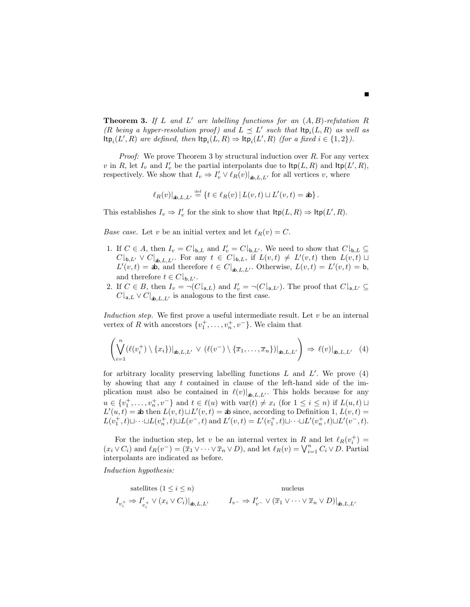**Theorem 3.** If L and L' are labelling functions for an  $(A, B)$ -refutation R (R being a hyper-resolution proof) and  $L \preceq L'$  such that  $\mathsf{ltp}_i(L,R)$  as well as  $\mathsf{ltp}_i(L',R)$  are defined, then  $\mathsf{ltp}_i(L,R) \Rightarrow \mathsf{ltp}_i(L',R)$  (for a fixed  $i \in \{1,2\}$ ).

*Proof:* We prove Theorem 3 by structural induction over  $R$ . For any vertex v in R, let  $I_v$  and  $I'_v$  be the partial interpolants due to  $\text{ltp}(L, R)$  and  $\text{ltp}(L', R)$ , respectively. We show that  $I_v \Rightarrow I'_v \vee \ell_R(v)|_{\mathbf{\dot{a}},L,L'}$  for all vertices v, where

$$
\ell_R(v)|_{\mathbf{ab}, L, L'} \stackrel{\text{def}}{=} \{ t \in \ell_R(v) \, | \, L(v, t) \sqcup L'(v, t) = \mathbf{ab} \}.
$$

This establishes  $I_v \Rightarrow I'_v$  for the sink to show that  $\text{ltp}(L, R) \Rightarrow \text{ltp}(L', R)$ .

Base case. Let v be an initial vertex and let  $\ell_R(v) = C$ .

- 1. If  $C \in A$ , then  $I_v = C \rvert_{\mathbf{b},L}$  and  $I'_v = C \rvert_{\mathbf{b},L'}$ . We need to show that  $C \rvert_{\mathbf{b},L} \subseteq$  $C|_{\mathbf{b},L'} \vee C|_{\mathbf{ab},L,L'}$ . For any  $t \in C|_{\mathbf{b},L}$ , if  $L(v,t) \neq L'(v,t)$  then  $L(v,t) \sqcup$  $L'(v,t) = \mathbf{a}$ , and therefore  $t \in C|_{\mathbf{a}$ ,  $L, L'}$ . Otherwise,  $L(v,t) = L'(v,t) = \mathbf{b}$ , and therefore  $t \in C\vert_{\mathbf{b},L'}$ .
- 2. If  $C \in B$ , then  $I_v = \neg(C|_{a,L})$  and  $I'_v = \neg(C|_{a,L'})$ . The proof that  $C|_{a,L'} \subseteq$  $C|_{\mathbf{a},L} \vee C|_{\mathbf{a}\mathbf{b},L,L'}$  is analogous to the first case.

Induction step. We first prove a useful intermediate result. Let  $v$  be an internal vertex of R with ancestors  $\{v_1^+, \ldots, v_n^+, v^-\}$ . We claim that

$$
\left(\bigvee_{i=1}^{n} (\ell(v_i^+) \setminus \{x_i\})|_{\mathbf{\hat{a}}, L, L'} \vee (\ell(v^-) \setminus \{\overline{x}_1, \dots, \overline{x}_n\})|_{\mathbf{\hat{a}}, L, L'}\right) \Rightarrow \ell(v)|_{\mathbf{\hat{a}}, L, L'} \quad (4)
$$

for arbitrary locality preserving labelling functions  $L$  and  $L'$ . We prove (4) by showing that any  $t$  contained in clause of the left-hand side of the implication must also be contained in  $\ell(v)|_{\mathbf{\dot{a}},L,L'}$ . This holds because for any  $u \in \{v_1^+, \ldots, v_n^+, v^-\}$  and  $t \in \ell(u)$  with  $var(t) \neq x_i$  (for  $1 \leq i \leq n$ ) if  $L(u, t) \sqcup$  $L'(u,t) =$  ab then  $L(v,t) \sqcup L'(v,t) =$  ab since, according to Definition 1,  $L(v,t) =$  $L(v_1^+, t) \sqcup \cdots \sqcup L(v_n^+, t) \sqcup L(v^-, t)$  and  $L'(v, t) = L'(v_1^+, t) \sqcup \cdots \sqcup L'(v_n^+, t) \sqcup L'(v^-, t)$ .

For the induction step, let v be an internal vertex in R and let  $\ell_R(v_i^+)$  =  $(x_i \vee C_i)$  and  $\ell_R(v^-) = (\overline{x}_1 \vee \cdots \vee \overline{x}_n \vee D)$ , and let  $\ell_R(v) = \bigvee_{i=1}^n C_i \vee D$ . Partial interpolants are indicated as before.

Induction hypothesis:

satellites 
$$
(1 \leq i \leq n)
$$
 nucleus  
\n
$$
I_{v_i^+} \Rightarrow I'_{v_i^+} \vee (x_i \vee C_i)|_{\mathbf{ab}, L, L'} \qquad I_{v^-} \Rightarrow I'_{v^-} \vee (\overline{x}_1 \vee \cdots \vee \overline{x}_n \vee D)|_{\mathbf{ab}, L, L'}
$$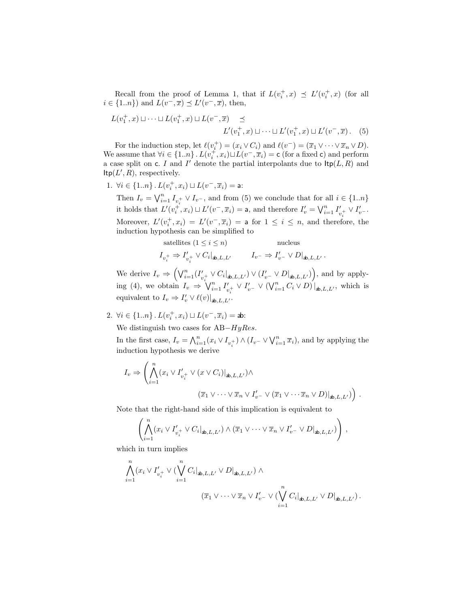Recall from the proof of Lemma 1, that if  $L(v_i^+, x) \preceq L'(v_i^+, x)$  (for all  $i \in \{1..n\}$  and  $L(v^-, \overline{x}) \preceq L'(v^-, \overline{x})$ , then,

$$
L(v_1^+, x) \sqcup \cdots \sqcup L(v_1^+, x) \sqcup L(v^-, \overline{x}) \preceq
$$
  

$$
L'(v_1^+, x) \sqcup \cdots \sqcup L'(v_1^+, x) \sqcup L'(v^-, \overline{x}).
$$
 (5)

For the induction step, let  $\ell(v_i^+) = (x_i \vee C_i)$  and  $\ell(v^-) = (\overline{x}_1 \vee \cdots \vee \overline{x}_n \vee D)$ . We assume that  $\forall i \in \{1..n\}$ .  $L(v_i^+, x_i) \sqcup L(v^-, \overline{x}_i) = \text{c}$  (for a fixed c) and perform a case split on c. I and I' denote the partial interpolants due to  $\text{ltp}(L, R)$  and  $\textsf{ltp}(L',R)$ , respectively.

1.  $\forall i \in \{1..n\}$ .  $L(v_i^+, x_i) \sqcup L(v^-, \overline{x}_i) = \mathsf{a}:$ 

Then  $I_v = \bigvee_{i=1}^n I_{v_i^+} \vee I_{v^-}$ , and from (5) we conclude that for all  $i \in \{1..n\}$ it holds that  $L'(v_i^+, x_i) \sqcup L'(v^-, \overline{x}_i) = a$ , and therefore  $I'_v = \bigvee_{i=1}^n I'_v$  $v_{v_i^+}^{\prime} \vee I_{v^-}^{\prime}.$ Moreover,  $L'(v_i^+, x_i) = L'(v^-, \overline{x}_i) = a$  for  $1 \le i \le n$ , and therefore, the induction hypothesis can be simplified to

$$
\begin{aligned} &\text{satellites } (1 \leq i \leq n) &&& \text{nucleus} \\ &I_{v_i^+} \Rightarrow I_{v_i^+}' \vee C_i|_{\mathbf{ab}, L, L'} &&& I_{v^-} \Rightarrow I_{v^-}' \vee D|_{\mathbf{ab}, L, L'}\,. \end{aligned}
$$

We derive  $I_v \Rightarrow \left(\bigvee_{i=1}^n (I'_i)\right)$  $\big\langle v_i^+ \vee C_i \big|_{\mathbf{\dot{a}},L,L'} \big\rangle \vee (I'_{v^-} \vee D|_{\mathbf{\dot{a}},L,L'}) \Big)$ , and by applying (4), we obtain  $I_v \Rightarrow \bigvee_{i=1}^n I'_i$  $v_{v_i}^{\prime} \vee I_{v^-}^{\prime} \vee (\bigvee_{i=1}^n C_i \vee D) \big|_{\mathbf{ab}, L, L^{\prime}}$ , which is equivalent to  $I_v \Rightarrow I'_v \vee \ell(v)|_{\mathbf{ab}, L, L'}$ .

$$
2. \ \forall i \in \{1..n\} \, . \, L(v_i^+,x_i) \sqcup L(v^-, \overline{x}_i) = \text{ab} \colon
$$

We distinguish two cases for AB−HyRes.

In the first case,  $I_v = \bigwedge_{i=1}^n (x_i \vee I_{v_i^+}) \wedge (I_{v^-} \vee \bigvee_{i=1}^n \overline{x}_i)$ , and by applying the induction hypothesis we derive

$$
I_v \Rightarrow \left( \bigwedge_{i=1}^n (x_i \vee I'_{v_i^+} \vee (x \vee C_i)|_{\mathbf{\hat{a}}, L, L'}) \wedge \right. (\overline{x}_1 \vee \cdots \vee \overline{x}_n \vee I'_{v^-} \vee (\overline{x}_1 \vee \cdots \overline{x}_n \vee D)|_{\mathbf{\hat{a}}, L, L'}) \right).
$$

Note that the right-hand side of this implication is equivalent to

$$
\left(\bigwedge_{i=1}^n (x_i \vee I'_{v_i^+} \vee C_i|_{\mathbf{ab}, L, L'}) \wedge (\overline{x}_1 \vee \cdots \vee \overline{x}_n \vee I'_{v^-} \vee D|_{\mathbf{ab}, L, L'})\right),
$$

which in turn implies

$$
\bigwedge_{i=1}^{n} (x_i \vee I'_{v_i^+} \vee (\bigvee_{i=1}^{n} C_i|_{\mathbf{\dot{a}},L,L'} \vee D|_{\mathbf{\dot{a}},L,L'}) \wedge
$$

$$
(\overline{x}_1 \vee \cdots \vee \overline{x}_n \vee I'_{v^-} \vee (\bigvee_{i=1}^{n} C_i|_{\mathbf{\dot{a}},L,L'} \vee D|_{\mathbf{\dot{a}},L,L'}).
$$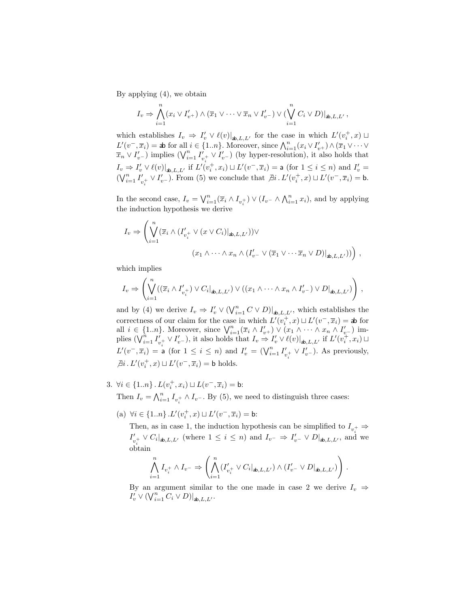By applying (4), we obtain

$$
I_v \Rightarrow \bigwedge_{i=1}^n (x_i \vee I'_{v^+}) \wedge (\overline{x}_1 \vee \cdots \vee \overline{x}_n \vee I'_{v^-}) \vee (\bigvee_{i=1}^n C_i \vee D)|_{\mathbf{ab}, L, L'},
$$

which establishes  $I_v \Rightarrow I'_v \vee \ell(v)|_{\mathbf{\dot{a}},L,L'}$  for the case in which  $L'(v_i^+,x) \sqcup$  $L'(v^-, \overline{x}_i) =$  ab for all  $i \in \{1..n\}$ . Moreover, since  $\bigwedge_{i=1}^n (x_i \vee I'_{v^+}) \wedge (\overline{x}_1 \vee \cdots \vee$  $\overline{x}_n \vee I'_{v^-}$ ) implies  $(\bigvee_{i=1}^n I'_i)$  $v_i^+ \vee I_{v^-}$ ) (by hyper-resolution), it also holds that  $I_v \Rightarrow I'_v \vee \ell(v)|_{\mathbf{\omega}, L, L'}$  if  $L'(v_i^+, x_i) \sqcup L'(v^-, \overline{x}_i) = \mathsf{a}$  (for  $1 \leq i \leq n$ ) and  $I'_v =$  $(\bigvee_{i=1}^{n} I'_i)$  $U'_{v_i^+} \vee I'_{v^-}$ ). From (5) we conclude that  $\exists i \, . \, L'(v_i^+, x) \sqcup L'(v^-, \overline{x}_i) = \mathsf{b}.$ 

In the second case,  $I_v = \bigvee_{i=1}^n (\overline{x}_i \wedge I_{v_i^+}) \vee (I_{v^-} \wedge \bigwedge_{i=1}^n x_i)$ , and by applying the induction hypothesis we derive

$$
I_v \Rightarrow \left( \bigvee_{i=1}^n (\overline{x}_i \wedge (I'_{v_i^+} \vee (x \vee C_i)|_{\mathbf{\dot{a}},L,L'})) \vee (x_1 \wedge \cdots \wedge x_n \wedge (I'_{v^-} \vee (\overline{x}_1 \vee \cdots \overline{x}_n \vee D)|_{\mathbf{\dot{a}},L,L'}))) \right),
$$

which implies

$$
I_v \Rightarrow \left( \bigvee_{i=1}^n ((\overline{x}_i \wedge I'_{v_i^+}) \vee C_i|_{\mathbf{ab}, L, L'}) \vee ((x_1 \wedge \cdots \wedge x_n \wedge I'_{v^-}) \vee D|_{\mathbf{ab}, L, L'}) \right),
$$

and by (4) we derive  $I_v \Rightarrow I'_v \vee (\bigvee_{i=1}^n C \vee D)|_{\mathbf{ab}, L, L'}$ , which establishes the correctness of our claim for the case in which  $L'(v_i^+, x) \sqcup L'(v^-, \overline{x}_i) = \mathbf{ab}$  for all  $i \in \{1..n\}$ . Moreover, since  $\bigvee_{i=1}^{n} (\overline{x}_i \wedge I'_{v+}) \vee (x_1 \wedge \cdots \wedge x_n \wedge I'_{v-})$  implies  $(\bigvee_{i=1}^{\tilde{n}} I_i)$  $\big\{v_i^+ \vee I'_{v^-}\big\}$ , it also holds that  $I_v \Rightarrow I'_v \vee \ell(v)|_{\mathbf{\Phi},L,L'}$  if  $L'(v_i^+,x_i) \sqcup$  $L'(v^-, \overline{x}_i) = \mathsf{a}$  (for  $1 \leq i \leq n$ ) and  $I'_v = (\bigvee_{i=1}^n I'_v)$  $v_i^{\prime} \lor I_{v^-}^{\prime}$ ). As previously,  $\exists i \,.\, L'(v_i^+,x) \sqcup L'(v^-,\overline{x}_i) = \mathsf{b} \text{ holds}.$ 

3.  $\forall i \in \{1..n\} \cdot L(v_i^+, x_i) \sqcup L(v^-, \overline{x}_i) = \mathsf{b}:$ 

Then  $I_v = \bigwedge_{i=1}^n I_{v_i^+} \wedge I_{v^-}$ . By (5), we need to distinguish three cases:

(a)  $\forall i \in \{1..n\} \cdot L'(v_i^+, x) \sqcup L'(v^-, \overline{x}_i) = \mathbf{b}:$ 

Then, as in case 1, the induction hypothesis can be simplified to  $I_{v_i^+}\Rightarrow$  $I'_{\cdot}$  $\bigcup_{v_i^+} \vee C_i \big|_{\mathbf{\dot{a}},L,L'}$  (where  $1 \leq i \leq n$ ) and  $I_{v^-} \Rightarrow I'_{v^-} \vee D \big|_{\mathbf{\dot{a}},L,L'}$ , and we  $\det$ <sub>o</sub>btain

$$
\bigwedge_{i=1}^{n} I_{v_i^+} \wedge I_{v^-} \Rightarrow \left( \bigwedge_{i=1}^{n} (I'_{v_i^+} \vee C_i|_{\mathbf{ab}, L, L'}) \wedge (I'_{v^-} \vee D|_{\mathbf{ab}, L, L'}) \right)
$$

.

By an argument similar to the one made in case 2 we derive  $I_v \Rightarrow$  $I'_v \vee (\bigvee_{i=1}^n C_i \vee D)\vert_{\text{ab}, L, L'}.$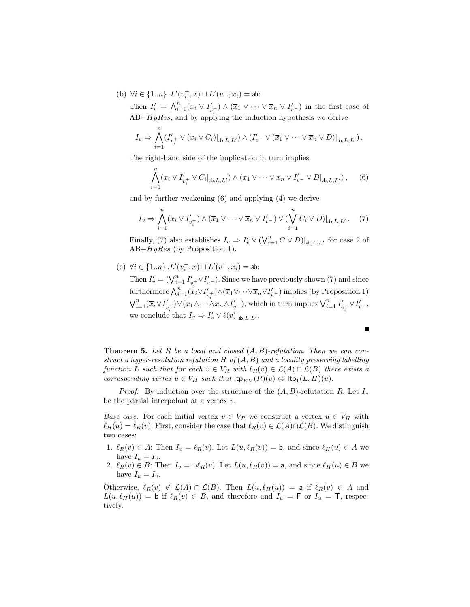(b)  $\forall i \in \{1..n\} \, .L'(v_i^+,x) \sqcup L'(v^-,\overline{x}_i) = \text{ab:}$ 

Then  $I'_v = \bigwedge_{i=1}^n (x_i \vee I'_v)$  $(v_i^+) \wedge (\overline{x}_1 \vee \cdots \vee \overline{x}_n \vee I'_{v^-})$  in the first case of  $AB-HyRes$ , and by applying the induction hypothesis we derive

$$
I_v \Rightarrow \bigwedge_{i=1}^n (I'_{v_i^+} \vee (x_i \vee C_i)|_{\mathbf{ab}, L, L'}) \wedge (I'_{v^-} \vee (\overline{x}_1 \vee \cdots \vee \overline{x}_n \vee D)|_{\mathbf{ab}, L, L'})
$$

The right-hand side of the implication in turn implies

$$
\bigwedge_{i=1}^{n} (x_i \vee I'_{v_i^+} \vee C_i|_{\mathbf{ab}, L, L'}) \wedge (\overline{x}_1 \vee \cdots \vee \overline{x}_n \vee I'_{v^-} \vee D|_{\mathbf{ab}, L, L'}), \qquad (6)
$$

and by further weakening (6) and applying (4) we derive

$$
I_v \Rightarrow \bigwedge_{i=1}^n (x_i \vee I'_{v_i^+}) \wedge (\overline{x}_1 \vee \cdots \vee \overline{x}_n \vee I'_{v^-}) \vee (\bigvee_{i=1}^n C_i \vee D)|_{\mathbf{a}, L, L'}.
$$
 (7)

Finally, (7) also establishes  $I_v \Rightarrow I'_v \vee (\bigvee_{i=1}^n C \vee D)|_{\mathbf{ab}, L, L'}$  for case 2 of AB−HyRes (by Proposition 1).

(c)  $\forall i \in \{1..n\} \ldotp L^\prime(v_i^+,x) \sqcup L^\prime(v^-,\overline{x}_i) = \textsf{ab}:$ 

Then  $I'_v = (\bigvee_{i=1}^n I'_i)$  $v_i^+\vee I_{v^-}'$ ). Since we have previously shown (7) and since furthermore  $\bigwedge_{i=1}^n (x_i \vee I'_i)$  $(v_i^+) \wedge (\overline{x}_1 \vee \cdots \vee \overline{x}_n \vee I'_{v^-})$  implies (by Proposition 1)  $\bigvee_{i=1}^{n} (\overline{x}_i \vee I_{v^+}') \vee (x_1 \wedge \cdots \wedge I_{v^+})$  $(v_i^+) \vee (x_1 \wedge \cdots \wedge x_n \wedge I'_{v^-}),$  which in turn implies  $\bigvee_{i=1}^n I'_i$ we conclude that  $I_v \Rightarrow I'_v \vee \ell(v)|_{\mathbf{\dot{a}},L,L'}}$ .  $v_i^{\prime} \vee I_{v^-}^{\prime},$ 

**Theorem 5.** Let R be a local and closed  $(A, B)$ -refutation. Then we can construct a hyper-resolution refutation  $H$  of  $(A, B)$  and a locality preserving labelling function L such that for each  $v \in V_R$  with  $\ell_R(v) \in \mathcal{L}(A) \cap \mathcal{L}(B)$  there exists a corresponding vertex  $u \in V_H$  such that  $\text{ltp}_{KV}(R)(v) \Leftrightarrow \text{ltp}_1(L, H)(u)$ .

*Proof:* By induction over the structure of the  $(A, B)$ -refutation R. Let  $I_v$ be the partial interpolant at a vertex  $v$ .

Base case. For each initial vertex  $v \in V_R$  we construct a vertex  $u \in V_H$  with  $\ell_H(u) = \ell_R(v)$ . First, consider the case that  $\ell_R(v) \in \mathcal{L}(A) \cap \mathcal{L}(B)$ . We distinguish two cases:

- 1.  $\ell_R(v) \in A$ : Then  $I_v = \ell_R(v)$ . Let  $L(u, \ell_R(v)) = \mathbf{b}$ , and since  $\ell_H(u) \in A$  we have  $I_u = I_v$ .
- 2.  $\ell_R(v) \in B$ : Then  $I_v = \neg \ell_R(v)$ . Let  $L(u, \ell_R(v)) = a$ , and since  $\ell_H(u) \in B$  we have  $I_u = I_v$ .

Otherwise,  $\ell_R(v) \notin \mathcal{L}(A) \cap \mathcal{L}(B)$ . Then  $L(u, \ell_H(u)) = a$  if  $\ell_R(v) \in A$  and  $L(u, \ell_H(u)) = b$  if  $\ell_R(v) \in B$ , and therefore and  $I_u = F$  or  $I_u = T$ , respectively.